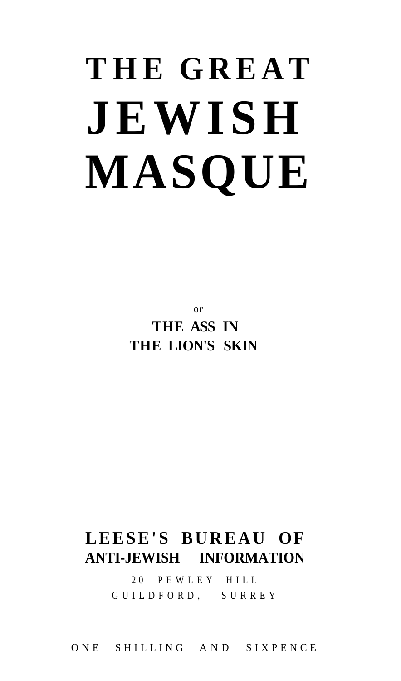# **T H E GREA T JEWISH MASQUE**

or

**THE ASS IN THE LION'S SKIN** 

## **LEESE'S BUREAU OF ANTI-JEWISH INFORMATION**

20 PEWLEY HILL GUILDFORD, SURREY

ONE SHILLING AND SIXPENCE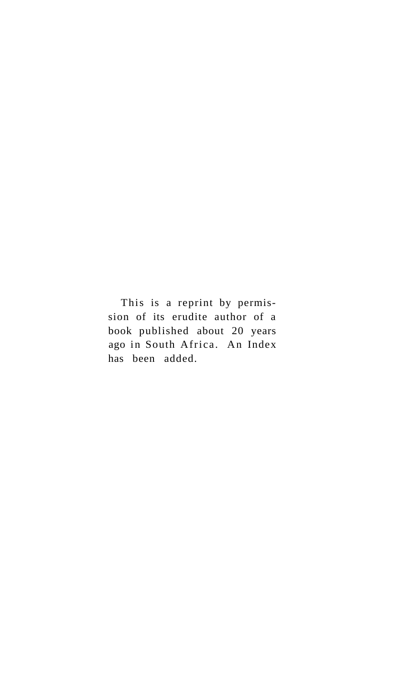This is a reprint by permission of its erudite author of a book published about 20 years ago in South Africa. An Index has been added.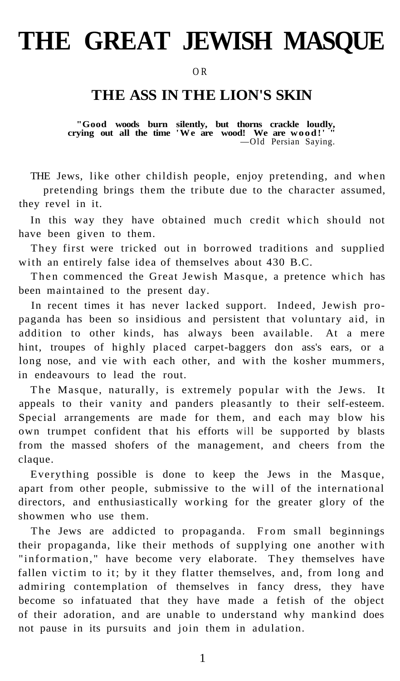# **THE GREAT JEWISH MASQUE**

#### O R

### **THE ASS IN THE LION'S SKIN**

**"Good woods burn silently, but thorns crackle loudly, crying out all the time 'We are wood! We are wood!' "**  —Old Persian Saying.

THE Jews, like other childish people, enjoy pretending, and when pretending brings them the tribute due to the character assumed, they revel in it.

In this way they have obtained much credit which should not have been given to them.

They first were tricked out in borrowed traditions and supplied with an entirely false idea of themselves about 430 B.C.

Then commenced the Great Jewish Masque, a pretence which has been maintained to the present day.

In recent times it has never lacked support. Indeed, Jewish propaganda has been so insidious and persistent that voluntary aid, in addition to other kinds, has always been available. At a mere hint, troupes of highly placed carpet-baggers don ass's ears, or a long nose, and vie with each other, and with the kosher mummers, in endeavours to lead the rout.

The Masque, naturally, is extremely popular with the Jews. It appeals to their vanity and panders pleasantly to their self-esteem. Special arrangements are made for them, and each may blow his own trumpet confident that his efforts will be supported by blasts from the massed shofers of the management, and cheers from the claque.

Everything possible is done to keep the Jews in the Masque, apart from other people, submissive to the will of the international directors, and enthusiastically working for the greater glory of the showmen who use them.

The Jews are addicted to propaganda. From small beginnings their propaganda, like their methods of supplying one another with "information," have become very elaborate. They themselves have fallen victim to it; by it they flatter themselves, and, from long and admiring contemplation of themselves in fancy dress, they have become so infatuated that they have made a fetish of the object of their adoration, and are unable to understand why mankind does not pause in its pursuits and join them in adulation.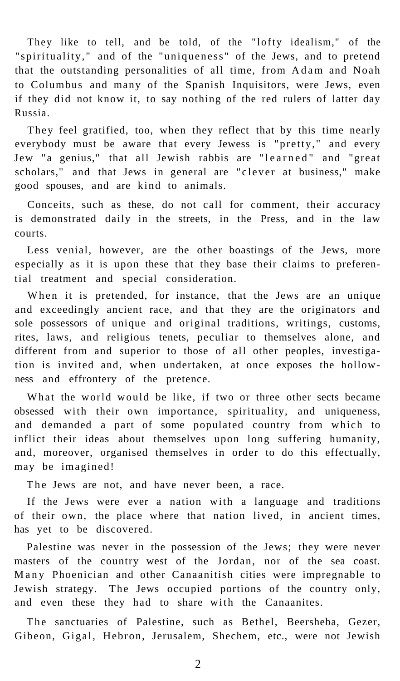They like to tell, and be told, of the "lofty idealism," of the "spirituality," and of the "uniqueness" of the Jews, and to pretend that the outstanding personalities of all time, from Adam and Noah to Columbus and many of the Spanish Inquisitors, were Jews, even if they did not know it, to say nothing of the red rulers of latter day Russia.

They feel gratified, too, when they reflect that by this time nearly everybody must be aware that every Jewess is "pretty," and every Jew "a genius," that all Jewish rabbis are "learned" and "great scholars," and that Jews in general are "clever at business," make good spouses, and are kind to animals.

Conceits, such as these, do not call for comment, their accuracy is demonstrated daily in the streets, in the Press, and in the law courts.

Less venial, however, are the other boastings of the Jews, more especially as it is upon these that they base their claims to preferential treatment and special consideration.

When it is pretended, for instance, that the Jews are an unique and exceedingly ancient race, and that they are the originators and sole possessors of unique and original traditions, writings, customs, rites, laws, and religious tenets, peculiar to themselves alone, and different from and superior to those of all other peoples, investigation is invited and, when undertaken, at once exposes the hollowness and effrontery of the pretence.

What the world would be like, if two or three other sects became obsessed with their own importance, spirituality, and uniqueness, and demanded a part of some populated country from which to inflict their ideas about themselves upon long suffering humanity, and, moreover, organised themselves in order to do this effectually, may be imagined!

The Jews are not, and have never been, a race.

If the Jews were ever a nation with a language and traditions of their own, the place where that nation lived, in ancient times, has yet to be discovered.

Palestine was never in the possession of the Jews; they were never masters of the country west of the Jordan, nor of the sea coast. Many Phoenician and other Canaanitish cities were impregnable to Jewish strategy. The Jews occupied portions of the country only, and even these they had to share with the Canaanites.

The sanctuaries of Palestine, such as Bethel, Beersheba, Gezer, Gibeon, Gigal, Hebron, Jerusalem, Shechem, etc., were not Jewish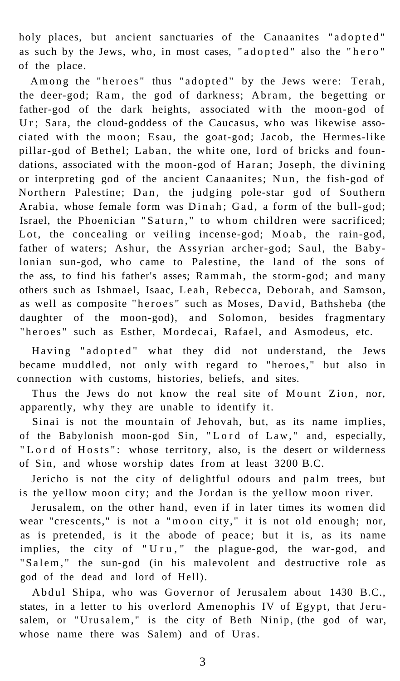holy places, but ancient sanctuaries of the Canaanites "adopted" as such by the Jews, who, in most cases, "adopted" also the "hero" of the place.

Among the "heroes" thus "adopted" by the Jews were: Terah, the deer-god; Ram, the god of darkness; Abram, the begetting or father-god of the dark heights, associated with the moon-god of U<sub>r</sub>; Sara, the cloud-goddess of the Caucasus, who was likewise associated with the moon; Esau, the goat-god; Jacob, the Hermes-like pillar-god of Bethel; Laban, the white one, lord of bricks and foundations, associated with the moon-god of Haran; Joseph, the divining or interpreting god of the ancient Canaanites; Nun, the fish-god of Northern Palestine; Dan, the judging pole-star god of Southern Arabia, whose female form was  $D$ inah: Gad, a form of the bull-god; Israel, the Phoenician "Saturn," to whom children were sacrificed; Lot, the concealing or veiling incense-god; Moab, the rain-god, father of waters; Ashur, the Assyrian archer-god; Saul, the Babylonian sun-god, who came to Palestine, the land of the sons of the ass, to find his father's asses; Rammah, the storm-god; and many others such as Ishmael, Isaac, Leah, Rebecca, Deborah, and Samson, as well as composite "heroes" such as Moses, David, Bathsheba (the daughter of the moon-god), and Solomon, besides fragmentary "heroes" such as Esther, Mordecai, Rafael, and Asmodeus, etc.

Having "adopted" what they did not understand, the Jews became muddled, not only with regard to "heroes," but also in connection with customs, histories, beliefs, and sites.

Thus the Jews do not know the real site of Mount Zion, nor, apparently, why they are unable to identify it.

Sinai is not the mountain of Jehovah, but, as its name implies, of the Babylonish moon-god Sin, "Lord of Law," and, especially, "Lord of Hosts": whose territory, also, is the desert or wilderness of Sin, and whose worship dates from at least 3200 B.C.

Jericho is not the city of delightful odours and palm trees, but is the yellow moon city; and the Jordan is the yellow moon river.

Jerusalem, on the other hand, even if in later times its women did wear "crescents," is not a "moon city," it is not old enough; nor, as is pretended, is it the abode of peace; but it is, as its name implies, the city of "Uru, " the plague-god, the war-god, and "Salem," the sun-god (in his malevolent and destructive role as god of the dead and lord of Hell).

Abdul Shipa, who was Governor of Jerusalem about 1430 B.C., states, in a letter to his overlord Amenophis IV of Egypt, that Jerusalem, or "Urusalem," is the city of Beth Ninip, (the god of war, whose name there was Salem) and of Uras.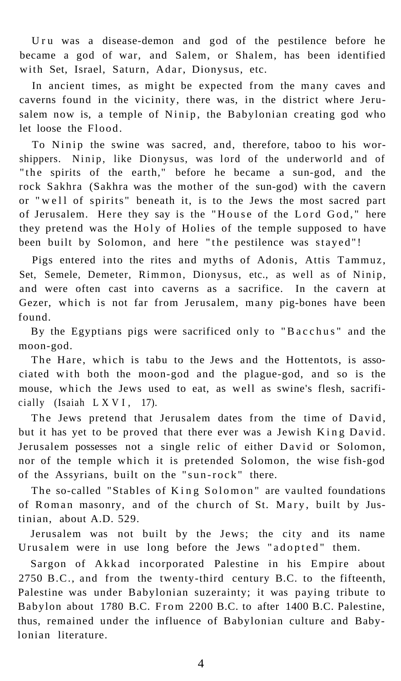Uru was a disease-demon and god of the pestilence before he became a god of war, and Salem, or Shalem, has been identified with Set, Israel, Saturn, Adar, Dionysus, etc.

In ancient times, as might be expected from the many caves and caverns found in the vicinity, there was, in the district where Jerusalem now is, a temple of Ninip, the Babylonian creating god who let loose the Flood.

To Ninip the swine was sacred, and, therefore, taboo to his worshippers. Ninip, like Dionysus, was lord of the underworld and of "the spirits of the earth," before he became a sun-god, and the rock Sakhra (Sakhra was the mother of the sun-god) with the cavern or "well of spirits" beneath it, is to the Jews the most sacred part of Jerusalem. Here they say is the "House of the Lord God," here they pretend was the Holy of Holies of the temple supposed to have been built by Solomon, and here "the pestilence was stayed"!

Pigs entered into the rites and myths of Adonis, Attis Tammuz, Set, Semele, Demeter, Rimmon, Dionysus, etc., as well as of Ninip, and were often cast into caverns as a sacrifice. In the cavern at Gezer, which is not far from Jerusalem, many pig-bones have been found.

By the Egyptians pigs were sacrificed only to "Bacchus" and the moon-god.

The Hare, which is tabu to the Jews and the Hottentots, is associated with both the moon-god and the plague-god, and so is the mouse, which the Jews used to eat, as well as swine's flesh, sacrificially (Isaiah LXVI, 17).

The Jews pretend that Jerusalem dates from the time of David, but it has yet to be proved that there ever was a Jewish King David. Jerusalem possesses not a single relic of either David or Solomon, nor of the temple which it is pretended Solomon, the wise fish-god of the Assyrians, built on the "sun-rock " there.

The so-called "Stables of King Solomon" are vaulted foundations of Roman masonry, and of the church of St. Mary, built by Justinian, about A.D. 529.

Jerusalem was not built by the Jews; the city and its name Urusalem were in use long before the Jews "adopted" them.

Sargon of Akkad incorporated Palestine in his Empire about 2750 B.C., and from the twenty-third century B.C. to the fifteenth, Palestine was under Babylonian suzerainty; it was paying tribute to Babylon about 1780 B.C. From 2200 B.C. to after 1400 B.C. Palestine, thus, remained under the influence of Babylonian culture and Babylonian literature.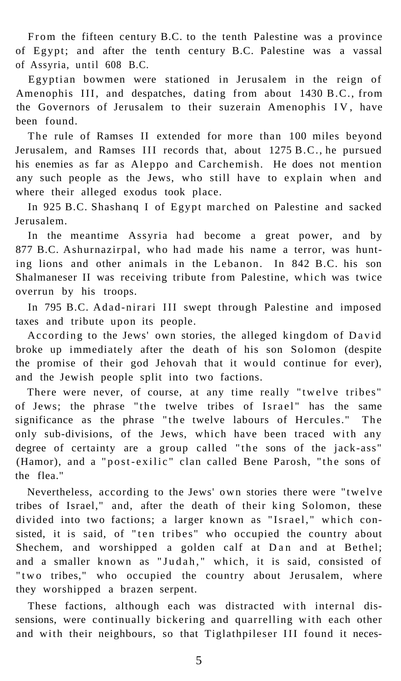From the fifteen century B.C. to the tenth Palestine was a province of Egypt; and after the tenth century B.C. Palestine was a vassal of Assyria, until 608 B.C.

Egyptian bowmen were stationed in Jerusalem in the reign of Amenophis III, and despatches, dating from about 1430 B.C., from the Governors of Jerusalem to their suzerain Amenophis IV , have been found.

The rule of Ramses II extended for more than 100 miles beyond Jerusalem, and Ramses III records that, about 1275 B.C., he pursued his enemies as far as Aleppo and Carchemish. He does not mention any such people as the Jews, who still have to explain when and where their alleged exodus took place.

In 925 B.C. Shashanq I of Egypt marched on Palestine and sacked Jerusalem.

In the meantime Assyria had become a great power, and by 877 B.C. Ashurnazirpal, who had made his name a terror, was hunting lions and other animals in the Lebanon. In 842 B.C. his son Shalmaneser II was receiving tribute from Palestine, which was twice overrun by his troops.

In 795 B.C. Adad-nirari III swept through Palestine and imposed taxes and tribute upon its people.

According to the Jews' own stories, the alleged kingdom of David broke up immediately after the death of his son Solomon (despite the promise of their god Jehovah that it would continue for ever), and the Jewish people split into two factions.

There were never, of course, at any time really "twelve tribes" of Jews; the phrase "the twelve tribes of Israel" has the same significance as the phrase "the twelve labours of Hercules." The only sub-divisions, of the Jews, which have been traced with any degree of certainty are a group called "the sons of the jack-ass" (Hamor), and a "post-exilic" clan called Bene Parosh, "the sons of the flea."

Nevertheless, according to the Jews' own stories there were "twelve tribes of Israel," and, after the death of their king Solomon, these divided into two factions; a larger known as "Israel," which consisted, it is said, of "ten tribes" who occupied the country about Shechem, and worshipped a golden calf at Dan and at Bethel; and a smaller known as "Judah," which, it is said, consisted of "two tribes," who occupied the country about Jerusalem, where they worshipped a brazen serpent.

These factions, although each was distracted with internal dissensions, were continually bickering and quarrelling with each other and with their neighbours, so that Tiglathpileser III found it neces-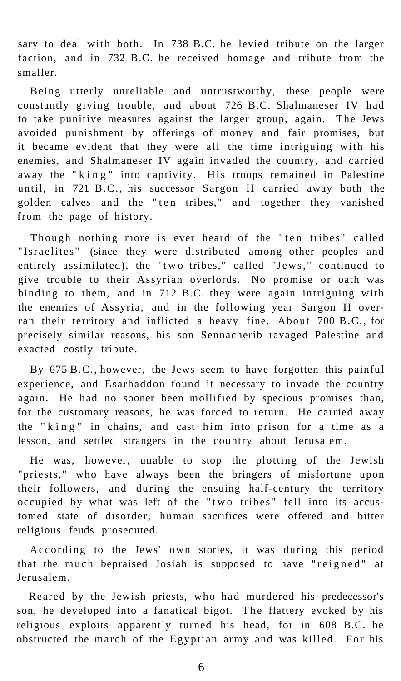sary to deal with both. In 738 B.C. he levied tribute on the larger faction, and in 732 B.C. he received homage and tribute from the smaller.

Being utterly unreliable and untrustworthy, these people were constantly giving trouble, and about 726 B.C. Shalmaneser IV had to take punitive measures against the larger group, again. The Jews avoided punishment by offerings of money and fair promises, but it became evident that they were all the time intriguing with his enemies, and Shalmaneser IV again invaded the country, and carried away the "king" into captivity. His troops remained in Palestine until, in 721 B.C., his successor Sargon II carried away both the golden calves and the "ten tribes," and together they vanished from the page of history.

Though nothing more is ever heard of the "ten tribes" called "Israelites" (since they were distributed among other peoples and entirely assimilated), the "two tribes," called "Jews," continued to give trouble to their Assyrian overlords. No promise or oath was binding to them, and in 712 B.C. they were again intriguing with the enemies of Assyria, and in the following year Sargon II overran their territory and inflicted a heavy fine. About 700 B.C., for precisely similar reasons, his son Sennacherib ravaged Palestine and exacted costly tribute.

By 675 B.C., however, the Jews seem to have forgotten this painful experience, and Esarhaddon found it necessary to invade the country again. He had no sooner been mollified by specious promises than, for the customary reasons, he was forced to return. He carried away the "king " in chains, and cast him into prison for a time as a lesson, and settled strangers in the country about Jerusalem.

He was, however, unable to stop the plotting of the Jewish "priests," who have always been the bringers of misfortune upon their followers, and during the ensuing half-century the territory occupied by what was left of the "two tribes" fell into its accustomed state of disorder; human sacrifices were offered and bitter religious feuds prosecuted.

According to the Jews' own stories, it was during this period that the much bepraised Josiah is supposed to have "reigned" at Jerusalem.

Reared by the Jewish priests, who had murdered his predecessor's son, he developed into a fanatical bigot. The flattery evoked by his religious exploits apparently turned his head, for in 608 B.C. he obstructed the march of the Egyptian army and was killed. For his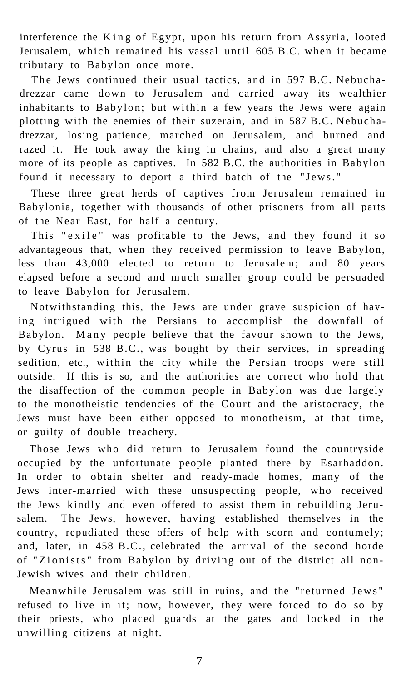interference the King of Egypt, upon his return from Assyria, looted Jerusalem, which remained his vassal until 605 B.C. when it became tributary to Babylon once more.

The Jews continued their usual tactics, and in 597 B.C. Nebuchadrezzar came down to Jerusalem and carried away its wealthier inhabitants to Babylon; but within a few years the Jews were again plotting with the enemies of their suzerain, and in 587 B.C. Nebuchadrezzar, losing patience, marched on Jerusalem, and burned and razed it. He took away the king in chains, and also a great many more of its people as captives. In 582 B.C. the authorities in Babylon found it necessary to deport a third batch of the "Jews. "

These three great herds of captives from Jerusalem remained in Babylonia, together with thousands of other prisoners from all parts of the Near East, for half a century.

This "exile" was profitable to the Jews, and they found it so advantageous that, when they received permission to leave Babylon, less than 43,000 elected to return to Jerusalem; and 80 years elapsed before a second and much smaller group could be persuaded to leave Babylon for Jerusalem.

Notwithstanding this, the Jews are under grave suspicion of having intrigued with the Persians to accomplish the downfall of Babylon. Many people believe that the favour shown to the Jews, by Cyrus in 538 B.C., was bought by their services, in spreading sedition, etc., within the city while the Persian troops were still outside. If this is so, and the authorities are correct who hold that the disaffection of the common people in Babylon was due largely to the monotheistic tendencies of the Court and the aristocracy, the Jews must have been either opposed to monotheism, at that time, or guilty of double treachery.

Those Jews who did return to Jerusalem found the countryside occupied by the unfortunate people planted there by Esarhaddon. In order to obtain shelter and ready-made homes, many of the Jews inter-married with these unsuspecting people, who received the Jews kindly and even offered to assist them in rebuilding Jerusalem. The Jews, however, having established themselves in the country, repudiated these offers of help with scorn and contumely; and, later, in 458 B.C., celebrated the arrival of the second horde of "Zionists" from Babylon by driving out of the district all non-Jewish wives and their children.

Meanwhile Jerusalem was still in ruins, and the "returned Jews " refused to live in it; now, however, they were forced to do so by their priests, who placed guards at the gates and locked in the unwilling citizens at night.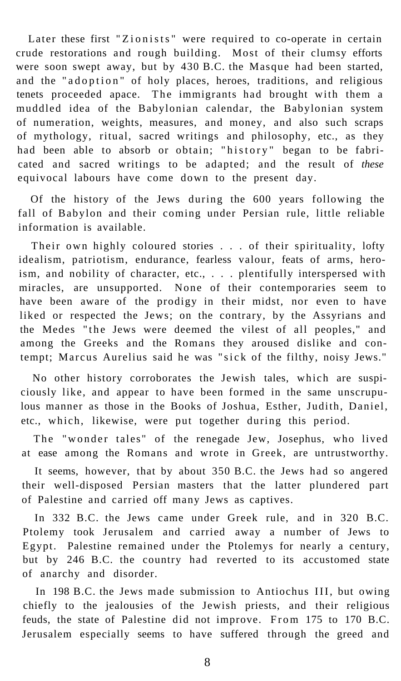Later these first "Zionists" were required to co-operate in certain crude restorations and rough building. Most of their clumsy efforts were soon swept away, but by 430 B.C. the Masque had been started, and the "adoption" of holy places, heroes, traditions, and religious tenets proceeded apace. The immigrants had brought with them a muddled idea of the Babylonian calendar, the Babylonian system of numeration, weights, measures, and money, and also such scraps of mythology, ritual, sacred writings and philosophy, etc., as they had been able to absorb or obtain; "history" began to be fabricated and sacred writings to be adapted; and the result of *these*  equivocal labours have come down to the present day.

Of the history of the Jews during the 600 years following the fall of Babylon and their coming under Persian rule, little reliable information is available.

Their own highly coloured stories . . . of their spirituality, lofty idealism, patriotism, endurance, fearless valour, feats of arms, heroism, and nobility of character, etc., . . . plentifully interspersed with miracles, are unsupported. None of their contemporaries seem to have been aware of the prodigy in their midst, nor even to have liked or respected the Jews; on the contrary, by the Assyrians and the Medes "the Jews were deemed the vilest of all peoples," and among the Greeks and the Romans they aroused dislike and contempt; Marcus Aurelius said he was "sick of the filthy, noisy Jews."

No other history corroborates the Jewish tales, which are suspiciously like, and appear to have been formed in the same unscrupulous manner as those in the Books of Joshua, Esther, Judith, Daniel, etc., which, likewise, were put together during this period.

The "wonder tales" of the renegade Jew, Josephus, who lived at ease among the Romans and wrote in Greek, are untrustworthy.

It seems, however, that by about 350 B.C. the Jews had so angered their well-disposed Persian masters that the latter plundered part of Palestine and carried off many Jews as captives.

In 332 B.C. the Jews came under Greek rule, and in 320 B.C. Ptolemy took Jerusalem and carried away a number of Jews to Egypt. Palestine remained under the Ptolemys for nearly a century, but by 246 B.C. the country had reverted to its accustomed state of anarchy and disorder.

In 198 B.C. the Jews made submission to Antiochus III, but owing chiefly to the jealousies of the Jewish priests, and their religious feuds, the state of Palestine did not improve. From 175 to 170 B.C. Jerusalem especially seems to have suffered through the greed and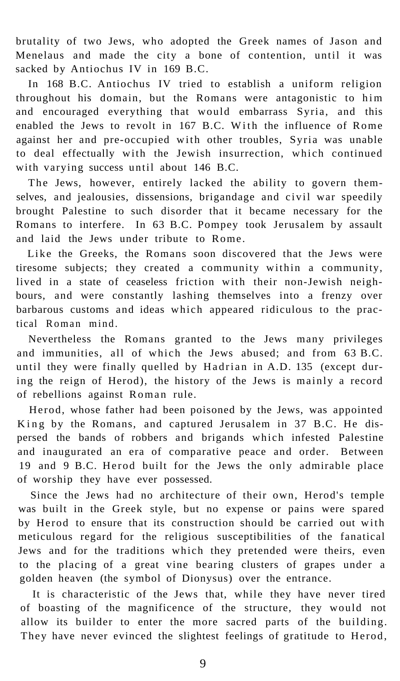brutality of two Jews, who adopted the Greek names of Jason and Menelaus and made the city a bone of contention, until it was sacked by Antiochus IV in 169 B.C.

In 168 B.C. Antiochus IV tried to establish a uniform religion throughout his domain, but the Romans were antagonistic to him and encouraged everything that would embarrass Syria, and this enabled the Jews to revolt in 167 B.C. With the influence of Rome against her and pre-occupied with other troubles, Syria was unable to deal effectually with the Jewish insurrection, which continued with varying success until about 146 B.C.

The Jews, however, entirely lacked the ability to govern themselves, and jealousies, dissensions, brigandage and civil war speedily brought Palestine to such disorder that it became necessary for the Romans to interfere. In 63 B.C. Pompey took Jerusalem by assault and laid the Jews under tribute to Rome.

Like the Greeks, the Romans soon discovered that the Jews were tiresome subjects; they created a community within a community, lived in a state of ceaseless friction with their non-Jewish neighbours, and were constantly lashing themselves into a frenzy over barbarous customs and ideas which appeared ridiculous to the practical Roman mind.

Nevertheless the Romans granted to the Jews many privileges and immunities, all of which the Jews abused; and from 63 B.C. until they were finally quelled by Hadrian in A.D. 135 (except during the reign of Herod), the history of the Jews is mainly a record of rebellions against Roman rule.

Herod, whose father had been poisoned by the Jews, was appointed King by the Romans, and captured Jerusalem in 37 B.C. He dispersed the bands of robbers and brigands which infested Palestine and inaugurated an era of comparative peace and order. Between 19 and 9 B.C. Herod built for the Jews the only admirable place of worship they have ever possessed.

Since the Jews had no architecture of their own, Herod's temple was built in the Greek style, but no expense or pains were spared by Herod to ensure that its construction should be carried out with meticulous regard for the religious susceptibilities of the fanatical Jews and for the traditions which they pretended were theirs, even to the placing of a great vine bearing clusters of grapes under a golden heaven (the symbol of Dionysus) over the entrance.

It is characteristic of the Jews that, while they have never tired of boasting of the magnificence of the structure, they would not allow its builder to enter the more sacred parts of the building. They have never evinced the slightest feelings of gratitude to Herod,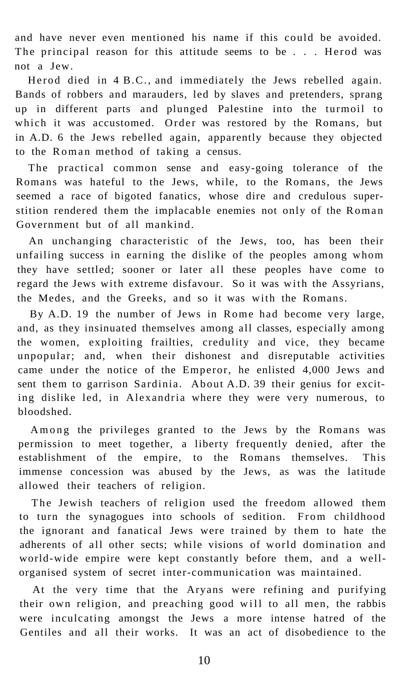and have never even mentioned his name if this could be avoided. The principal reason for this attitude seems to be . . . Herod was not a Jew.

Herod died in 4 B.C., and immediately the Jews rebelled again. Bands of robbers and marauders, led by slaves and pretenders, sprang up in different parts and plunged Palestine into the turmoil to which it was accustomed. Order was restored by the Romans, but in A.D. 6 the Jews rebelled again, apparently because they objected to the Roman method of taking a census.

The practical common sense and easy-going tolerance of the Romans was hateful to the Jews, while, to the Romans, the Jews seemed a race of bigoted fanatics, whose dire and credulous superstition rendered them the implacable enemies not only of the Roman Government but of all mankind.

An unchanging characteristic of the Jews, too, has been their unfailing success in earning the dislike of the peoples among whom they have settled; sooner or later all these peoples have come to regard the Jews with extreme disfavour. So it was with the Assyrians, the Medes, and the Greeks, and so it was with the Romans.

By A.D. 19 the number of Jews in Rome had become very large, and, as they insinuated themselves among all classes, especially among the women, exploiting frailties, credulity and vice, they became unpopular; and, when their dishonest and disreputable activities came under the notice of the Emperor, he enlisted 4,000 Jews and sent them to garrison Sardinia. About A.D. 39 their genius for exciting dislike led, in Alexandria where they were very numerous, to bloodshed.

Among the privileges granted to the Jews by the Romans was permission to meet together, a liberty frequently denied, after the establishment of the empire, to the Romans themselves. This immense concession was abused by the Jews, as was the latitude allowed their teachers of religion.

The Jewish teachers of religion used the freedom allowed them to turn the synagogues into schools of sedition. From childhood the ignorant and fanatical Jews were trained by them to hate the adherents of all other sects; while visions of world domination and world-wide empire were kept constantly before them, and a wellorganised system of secret inter-communication was maintained.

At the very time that the Aryans were refining and purifying their own religion, and preaching good will to all men, the rabbis were inculcating amongst the Jews a more intense hatred of the Gentiles and all their works. It was an act of disobedience to the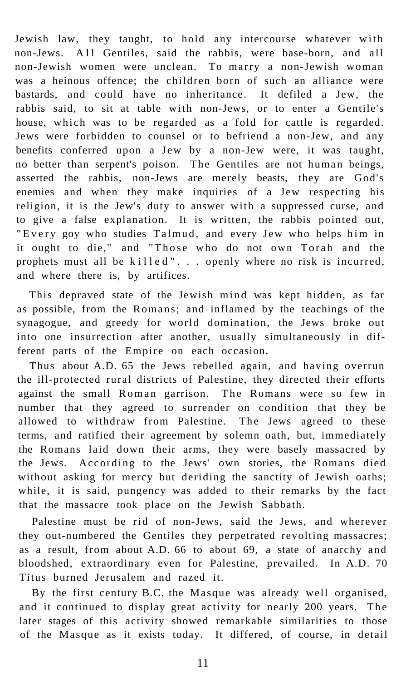Jewish law, they taught, to hold any intercourse whatever with non-Jews. All Gentiles, said the rabbis, were base-born, and all non-Jewish women were unclean. To marry a non-Jewish woman was a heinous offence; the children born of such an alliance were bastards, and could have no inheritance. It defiled a Jew, the rabbis said, to sit at table with non-Jews, or to enter a Gentile's house, which was to be regarded as a fold for cattle is regarded. Jews were forbidden to counsel or to befriend a non-Jew, and any benefits conferred upon a Jew by a non-Jew were, it was taught, no better than serpent's poison. The Gentiles are not human beings, asserted the rabbis, non-Jews are merely beasts, they are God's enemies and when they make inquiries of a Jew respecting his religion, it is the Jew's duty to answer with a suppressed curse, and to give a false explanation. It is written, the rabbis pointed out, "Everv goy who studies Talmud, and every Jew who helps him in it ought to die." and "Those who do not own Torah and the prophets must all be killed"... openly where no risk is incurred, and where there is, by artifices.

This depraved state of the Jewish mind was kept hidden, as far as possible, from the Romans; and inflamed by the teachings of the synagogue, and greedy for world domination, the Jews broke out into one insurrection after another, usually simultaneously in different parts of the Empire on each occasion.

Thus about A.D. 65 the Jews rebelled again, and having overrun the ill-protected rural districts of Palestine, they directed their efforts against the small Roman garrison. The Romans were so few in number that they agreed to surrender on condition that they be allowed to withdraw from Palestine. The Jews agreed to these terms, and ratified their agreement by solemn oath, but, immediately the Romans laid down their arms, they were basely massacred by the Jews. According to the Jews' own stories, the Romans died without asking for mercy but deriding the sanctity of Jewish oaths; while, it is said, pungency was added to their remarks by the fact that the massacre took place on the Jewish Sabbath.

Palestine must be rid of non-Jews, said the Jews, and wherever they out-numbered the Gentiles they perpetrated revolting massacres; as a result, from about A.D. 66 to about 69, a state of anarchy and bloodshed, extraordinary even for Palestine, prevailed. In A.D. 70 Titus burned Jerusalem and razed it.

By the first century B.C. the Masque was already well organised, and it continued to display great activity for nearly 200 years. The later stages of this activity showed remarkable similarities to those of the Masque as it exists today. It differed, of course, in detail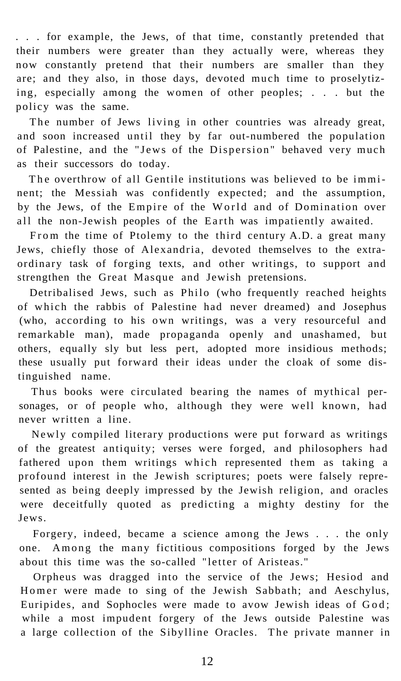. . . for example, the Jews, of that time, constantly pretended that their numbers were greater than they actually were, whereas they now constantly pretend that their numbers are smaller than they are; and they also, in those days, devoted much time to proselytizing, especially among the women of other peoples; . . . but the policy was the same.

The number of Jews living in other countries was already great, and soon increased until they by far out-numbered the population of Palestine, and the "Jews of the Dispersion" behaved very much as their successors do today.

The overthrow of all Gentile institutions was believed to be imminent; the Messiah was confidently expected; and the assumption, by the Jews, of the Empire of the World and of Domination over all the non-Jewish peoples of the Earth was impatiently awaited.

From the time of Ptolemy to the third century A.D. a great many Jews, chiefly those of Alexandria, devoted themselves to the extraordinary task of forging texts, and other writings, to support and strengthen the Great Masque and Jewish pretensions.

Detribalised Jews, such as Philo (who frequently reached heights of which the rabbis of Palestine had never dreamed) and Josephus (who, according to his own writings, was a very resourceful and remarkable man), made propaganda openly and unashamed, but others, equally sly but less pert, adopted more insidious methods; these usually put forward their ideas under the cloak of some distinguished name.

Thus books were circulated bearing the names of mythical personages, or of people who, although they were well known, had never written a line.

Newly compiled literary productions were put forward as writings of the greatest antiquity; verses were forged, and philosophers had fathered upon them writings which represented them as taking a profound interest in the Jewish scriptures; poets were falsely represented as being deeply impressed by the Jewish religion, and oracles were deceitfully quoted as predicting a mighty destiny for the Jews.

Forgery, indeed, became a science among the Jews . . . the only one. Among the many fictitious compositions forged by the Jews about this time was the so-called "letter of Aristeas."

Orpheus was dragged into the service of the Jews; Hesiod and Homer were made to sing of the Jewish Sabbath; and Aeschylus, Euripides, and Sophocles were made to avow Jewish ideas of God ; while a most impudent forgery of the Jews outside Palestine was a large collection of the Sibylline Oracles. The private manner in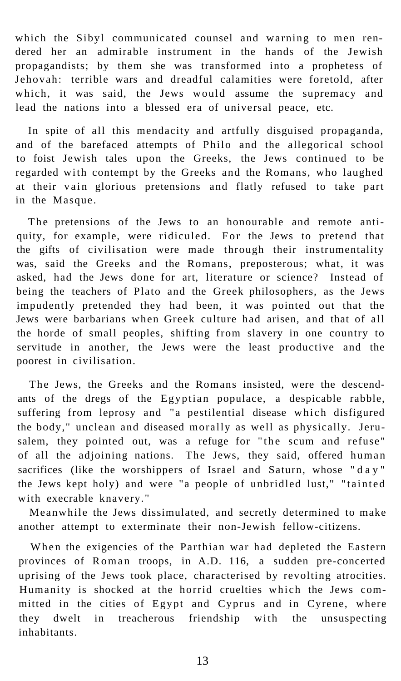which the Sibyl communicated counsel and warning to men rendered her an admirable instrument in the hands of the Jewish propagandists; by them she was transformed into a prophetess of Jehovah: terrible wars and dreadful calamities were foretold, after which, it was said, the Jews would assume the supremacy and lead the nations into a blessed era of universal peace, etc.

In spite of all this mendacity and artfully disguised propaganda, and of the barefaced attempts of Philo and the allegorical school to foist Jewish tales upon the Greeks, the Jews continued to be regarded with contempt by the Greeks and the Romans, who laughed at their vain glorious pretensions and flatly refused to take part in the Masque.

The pretensions of the Jews to an honourable and remote antiquity, for example, were ridiculed. For the Jews to pretend that the gifts of civilisation were made through their instrumentality was, said the Greeks and the Romans, preposterous; what, it was asked, had the Jews done for art, literature or science? Instead of being the teachers of Plato and the Greek philosophers, as the Jews impudently pretended they had been, it was pointed out that the Jews were barbarians when Greek culture had arisen, and that of all the horde of small peoples, shifting from slavery in one country to servitude in another, the Jews were the least productive and the poorest in civilisation.

The Jews, the Greeks and the Romans insisted, were the descendants of the dregs of the Egyptian populace, a despicable rabble, suffering from leprosy and "a pestilential disease which disfigured the body," unclean and diseased morally as well as physically. Jerusalem, they pointed out, was a refuge for "the scum and refuse" of all the adjoining nations. The Jews, they said, offered human sacrifices (like the worshippers of Israel and Saturn, whose "day" the Jews kept holy) and were "a people of unbridled lust," "tainte d with execrable knavery."

Meanwhile the Jews dissimulated, and secretly determined to make another attempt to exterminate their non-Jewish fellow-citizens.

When the exigencies of the Parthian war had depleted the Eastern provinces of Roman troops, in A.D. 116, a sudden pre-concerted uprising of the Jews took place, characterised by revolting atrocities. Humanity is shocked at the horrid cruelties which the Jews committed in the cities of Egypt and Cyprus and in Cyrene, where they dwelt in treacherous friendship with the unsuspecting inhabitants.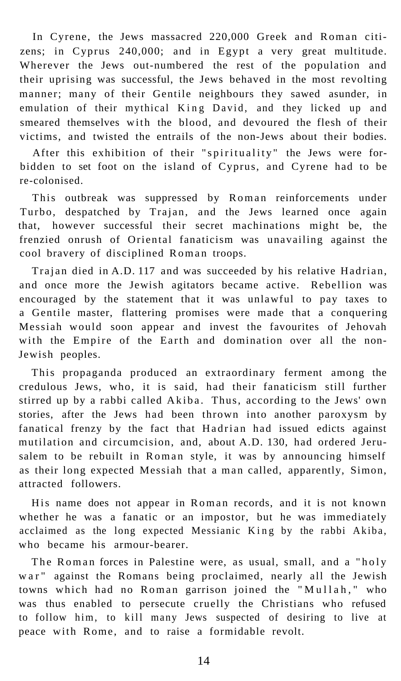In Cyrene, the Jews massacred 220,000 Greek and Roman citizens; in Cyprus 240,000; and in Egypt a very great multitude. Wherever the Jews out-numbered the rest of the population and their uprising was successful, the Jews behaved in the most revolting manner; many of their Gentile neighbours they sawed asunder, in emulation of their mythical King David, and they licked up and smeared themselves with the blood, and devoured the flesh of their victims, and twisted the entrails of the non-Jews about their bodies.

After this exhibition of their "spirituality" the Jews were forbidden to set foot on the island of Cyprus, and Cyrene had to be re-colonised.

This outbreak was suppressed by Roman reinforcements under Turbo, despatched by Trajan, and the Jews learned once again that, however successful their secret machinations might be, the frenzied onrush of Oriental fanaticism was unavailing against the cool bravery of disciplined Roman troops.

Trajan died in A.D. 117 and was succeeded by his relative Hadrian, and once more the Jewish agitators became active. Rebellion was encouraged by the statement that it was unlawful to pay taxes to a Gentile master, flattering promises were made that a conquering Messiah would soon appear and invest the favourites of Jehovah with the Empire of the Earth and domination over all the non-Jewish peoples.

This propaganda produced an extraordinary ferment among the credulous Jews, who, it is said, had their fanaticism still further stirred up by a rabbi called Akiba. Thus, according to the Jews' own stories, after the Jews had been thrown into another paroxysm by fanatical frenzy by the fact that Hadrian had issued edicts against mutilation and circumcision, and, about A.D. 130, had ordered Jerusalem to be rebuilt in Roman style, it was by announcing himself as their long expected Messiah that a man called, apparently, Simon, attracted followers.

His name does not appear in Roman records, and it is not known whether he was a fanatic or an impostor, but he was immediately acclaimed as the long expected Messianic King by the rabbi Akiba, who became his armour-bearer.

The Roman forces in Palestine were, as usual, small, and a "holy war" against the Romans being proclaimed, nearly all the Jewish towns which had no Roman garrison joined the "Mullah," who was thus enabled to persecute cruelly the Christians who refused to follow him, to kill many Jews suspected of desiring to live at peace with Rome, and to raise a formidable revolt.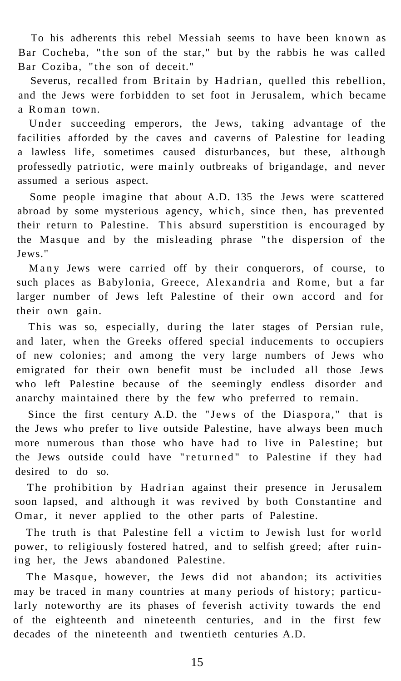To his adherents this rebel Messiah seems to have been known as Bar Cocheba, "the son of the star," but by the rabbis he was called Bar Coziba, "the son of deceit."

Severus, recalled from Britain by Hadrian, quelled this rebellion, and the Jews were forbidden to set foot in Jerusalem, which became a Roman town.

Under succeeding emperors, the Jews, taking advantage of the facilities afforded by the caves and caverns of Palestine for leading a lawless life, sometimes caused disturbances, but these, although professedly patriotic, were mainly outbreaks of brigandage, and never assumed a serious aspect.

Some people imagine that about A.D. 135 the Jews were scattered abroad by some mysterious agency, which, since then, has prevented their return to Palestine. This absurd superstition is encouraged by the Masque and by the misleading phrase "the dispersion of the Jews."

Many Jews were carried off by their conquerors, of course, to such places as Babylonia, Greece, Alexandria and Rome, but a far larger number of Jews left Palestine of their own accord and for their own gain.

This was so, especially, during the later stages of Persian rule, and later, when the Greeks offered special inducements to occupiers of new colonies; and among the very large numbers of Jews who emigrated for their own benefit must be included all those Jews who left Palestine because of the seemingly endless disorder and anarchy maintained there by the few who preferred to remain.

Since the first century A.D. the "Jews of the Diaspora," that is the Jews who prefer to live outside Palestine, have always been much more numerous than those who have had to live in Palestine; but the Jews outside could have "returned" to Palestine if they had desired to do so.

The prohibition by Hadrian against their presence in Jerusalem soon lapsed, and although it was revived by both Constantine and Omar, it never applied to the other parts of Palestine.

The truth is that Palestine fell a victim to Jewish lust for world power, to religiously fostered hatred, and to selfish greed; after ruining her, the Jews abandoned Palestine.

The Masque, however, the Jews did not abandon; its activities may be traced in many countries at many periods of history; particularly noteworthy are its phases of feverish activity towards the end of the eighteenth and nineteenth centuries, and in the first few decades of the nineteenth and twentieth centuries A.D.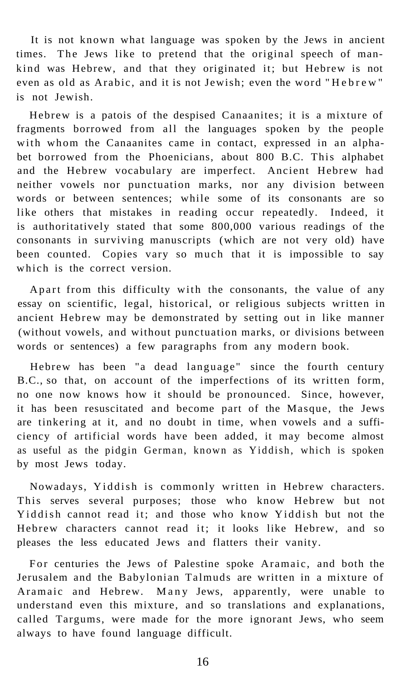It is not known what language was spoken by the Jews in ancient times. The Jews like to pretend that the original speech of mankind was Hebrew, and that they originated it; but Hebrew is not even as old as Arabic , and it is not Jewish; even the word "Hebrew " is not Jewish.

Hebrew is a patois of the despised Canaanites; it is a mixture of fragments borrowed from all the languages spoken by the people with whom the Canaanites came in contact, expressed in an alphabet borrowed from the Phoenicians, about 800 B.C. This alphabet and the Hebrew vocabulary are imperfect. Ancient Hebrew had neither vowels nor punctuation marks, nor any division between words or between sentences; while some of its consonants are so like others that mistakes in reading occur repeatedly. Indeed, it is authoritatively stated that some 800,000 various readings of the consonants in surviving manuscripts (which are not very old) have been counted. Copies vary so much that it is impossible to say which is the correct version.

Apart from this difficulty with the consonants, the value of any essay on scientific, legal, historical, or religious subjects written in ancient Hebrew may be demonstrated by setting out in like manner (without vowels, and without punctuation marks, or divisions between words or sentences) a few paragraphs from any modern book.

Hebrew has been "a dead language" since the fourth century B.C., so that, on account of the imperfections of its written form, no one now knows how it should be pronounced. Since, however, it has been resuscitated and become part of the Masque, the Jews are tinkering at it, and no doubt in time, when vowels and a sufficiency of artificial words have been added, it may become almost as useful as the pidgin German, known as Yiddish, which is spoken by most Jews today.

Nowadays, Yiddish is commonly written in Hebrew characters. This serves several purposes; those who know Hebrew but not Yiddish cannot read it; and those who know Yiddish but not the Hebrew characters cannot read it; it looks like Hebrew, and so pleases the less educated Jews and flatters their vanity.

For centuries the Jews of Palestine spoke Aramaic, and both the Jerusalem and the Babylonian Talmuds are written in a mixture of Aramaic and Hebrew. Many Jews, apparently, were unable to understand even this mixture, and so translations and explanations, called Targums, were made for the more ignorant Jews, who seem always to have found language difficult.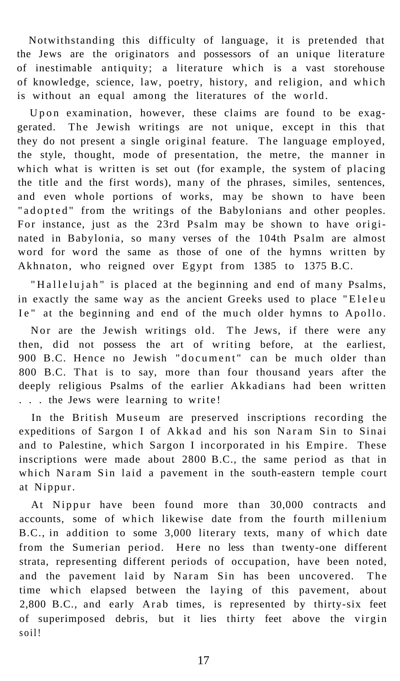Notwithstanding this difficulty of language, it is pretended that the Jews are the originators and possessors of an unique literature of inestimable antiquity; a literature which is a vast storehouse of knowledge, science, law, poetry, history, and religion, and which is without an equal among the literatures of the world.

Upon examination, however, these claims are found to be exaggerated. The Jewish writings are not unique, except in this that they do not present a single original feature. The language employed, the style, thought, mode of presentation, the metre, the manner in which what is written is set out (for example, the system of placing the title and the first words), many of the phrases, similes, sentences, and even whole portions of works, may be shown to have been "adopted" from the writings of the Babylonians and other peoples. For instance, just as the 23rd Psalm may be shown to have originated in Babylonia, so many verses of the 104th Psalm are almost word for word the same as those of one of the hymns written by Akhnaton, who reigned over Egypt from 1385 to 1375 B.C.

"Hallelujah" is placed at the beginning and end of many Psalms, in exactly the same way as the ancient Greeks used to place "Eleleu Ie" at the beginning and end of the much older hymns to Apollo.

Nor are the Jewish writings old. The Jews, if there were any then, did not possess the art of writing before, at the earliest, 900 B.C. Hence no Jewish "document" can be much older than 800 B.C. That is to say, more than four thousand years after the deeply religious Psalms of the earlier Akkadians had been written . . . the Jews were learning to write !

In the British Museum are preserved inscriptions recording the expeditions of Sargon I of Akkad and his son Naram Sin to Sinai and to Palestine, which Sargon I incorporated in his Empire. These inscriptions were made about 2800 B.C., the same period as that in which Naram Sin laid a pavement in the south-eastern temple court at Nippur.

At Nippur have been found more than 30,000 contracts and accounts, some of which likewise date from the fourth millenium B.C., in addition to some 3,000 literary texts, many of which date from the Sumerian period. Here no less than twenty-one different strata, representing different periods of occupation, have been noted, and the pavement laid by Naram Sin has been uncovered. The time which elapsed between the laying of this pavement, about 2,800 B.C., and early Arab times, is represented by thirty-six feet of superimposed debris, but it lies thirty feet above the virgin soil!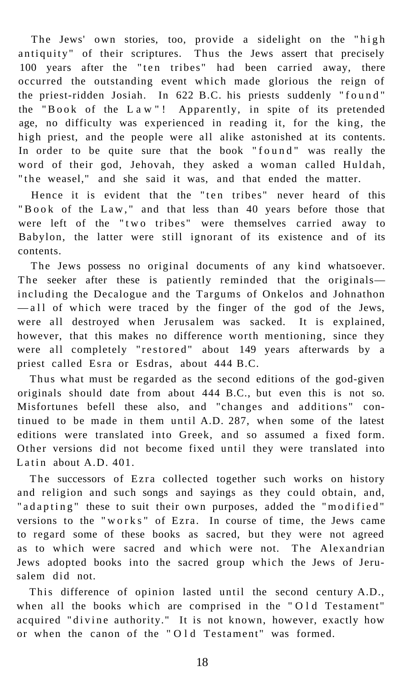The Jews' own stories, too, provide a sidelight on the "high antiquity" of their scriptures. Thus the Jews assert that precisely 100 years after the "ten tribes" had been carried away, there occurred the outstanding event which made glorious the reign of the priest-ridden Josiah. In 622 B.C. his priests suddenly "found " the "Book of the Law"! Apparently, in spite of its pretended age, no difficulty was experienced in reading it, for the king, the high priest, and the people were all alike astonished at its contents. In order to be quite sure that the book "found" was really the word of their god, Jehovah, they asked a woman called Huldah, "the weasel," and she said it was, and that ended the matter.

Hence it is evident that the "ten tribes" never heard of this "Book of the Law," and that less than 40 years before those that were left of the "two tribes" were themselves carried away to Babylon, the latter were still ignorant of its existence and of its contents.

The Jews possess no original documents of any kind whatsoever. The seeker after these is patiently reminded that the originals including the Decalogue and the Targums of Onkelos and Johnathon  $-$ all of which were traced by the finger of the god of the Jews, were all destroyed when Jerusalem was sacked. It is explained, however, that this makes no difference worth mentioning, since they were all completely "restored" about 149 years afterwards by a priest called Esra or Esdras, about 444 B.C.

Thus what must be regarded as the second editions of the god-given originals should date from about 444 B.C., but even this is not so. Misfortunes befell these also, and "changes and additions " continued to be made in them until A.D. 287, when some of the latest editions were translated into Greek, and so assumed a fixed form. Other versions did not become fixed until they were translated into Latin about  $A$   $D$   $401$ .

The successors of Ezra collected together such works on history and religion and such songs and sayings as they could obtain, and, "adapting" these to suit their own purposes, added the "modified" versions to the "works " of Ezra . In course of time, the Jews came to regard some of these books as sacred, but they were not agreed as to which were sacred and which were not. The Alexandrian Jews adopted books into the sacred group which the Jews of Jerusalem did not

This difference of opinion lasted until the second century A.D., when all the books which are comprised in the "Old Testament" acquired "divine authority." It is not known, however, exactly how or when the canon of the "Old Testament" was formed.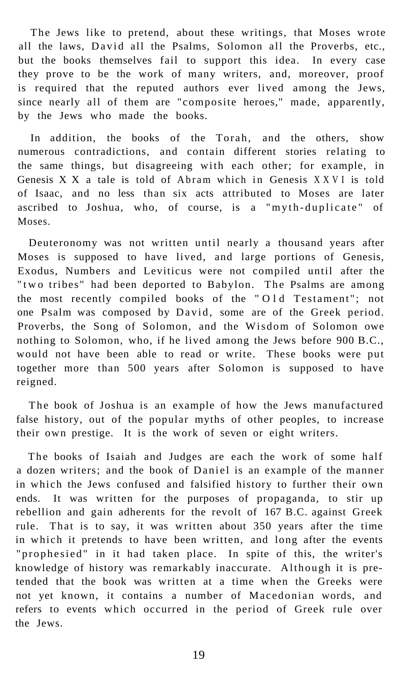The Jews like to pretend, about these writings, that Moses wrote all the laws, David all the Psalms, Solomon all the Proverbs, etc., but the books themselves fail to support this idea. In every case they prove to be the work of many writers, and, moreover, proof is required that the reputed authors ever lived among the Jews, since nearly all of them are "composite heroes," made, apparently, by the Jews who made the books.

In addition, the books of the Torah, and the others, show numerous contradictions, and contain different stories relating to the same things, but disagreeing with each other; for example, in Genesis  $X$   $X$  a tale is told of Abram which in Genesis  $X$  $X$   $V$  I is told of Isaac, and no less than six acts attributed to Moses are later ascribed to Joshua, who, of course, is a "myth-duplicate" of **Moses**.

Deuteronomy was not written until nearly a thousand years after Moses is supposed to have lived, and large portions of Genesis, Exodus, Numbers and Leviticus were not compiled until after the "two tribes" had been deported to Babylon. The Psalms are among the most recently compiled books of the "Old Testament"; not one Psalm was composed by David, some are of the Greek period. Proverbs, the Song of Solomon, and the Wisdom of Solomon owe nothing to Solomon, who, if he lived among the Jews before 900 B.C., would not have been able to read or write. These books were put together more than 500 years after Solomon is supposed to have reigned.

The book of Joshua is an example of how the Jews manufactured false history, out of the popular myths of other peoples, to increase their own prestige. It is the work of seven or eight writers.

The books of Isaiah and Judges are each the work of some half a dozen writers; and the book of Daniel is an example of the manner in which the Jews confused and falsified history to further their own ends. It was written for the purposes of propaganda, to stir up rebellion and gain adherents for the revolt of 167 B.C. against Greek rule. That is to say, it was written about 350 years after the time in which it pretends to have been written, and long after the events "prophesied" in it had taken place. In spite of this, the writer's knowledge of history was remarkably inaccurate. Although it is pretended that the book was written at a time when the Greeks were not yet known, it contains a number of Macedonian words, and refers to events which occurred in the period of Greek rule over the Jews.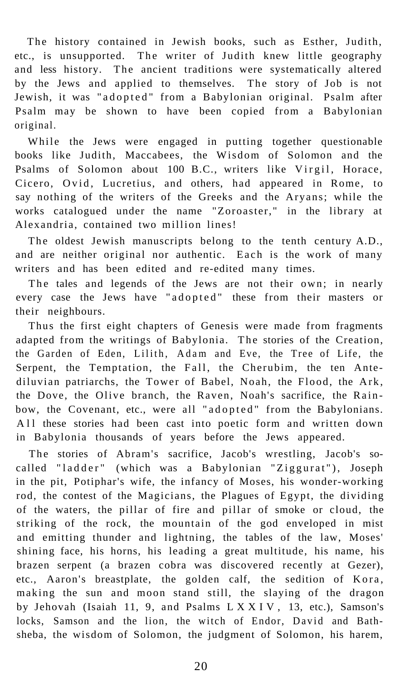The history contained in Jewish books, such as Esther, Judith, etc., is unsupported. The writer of Judith knew little geography and less history. The ancient traditions were systematically altered by the Jews and applied to themselves. The story of Job is not Jewish, it was "adopted" from a Babylonian original. Psalm after Psalm may be shown to have been copied from a Babylonian original.

While the Jews were engaged in putting together questionable books like Judith, Maccabees, the Wisdom of Solomon and the Psalms of Solomon about 100 B.C., writers like Virgil, Horace, Cicero, Ovid, Lucretius, and others, had appeared in Rome, to say nothing of the writers of the Greeks and the Aryans; while the works catalogued under the name "Zoroaster," in the library at Alexandria, contained two million lines!

The oldest Jewish manuscripts belong to the tenth century A.D., and are neither original nor authentic. Each is the work of many writers and has been edited and re-edited many times.

The tales and legends of the Jews are not their own; in nearly every case the Jews have "adopted" these from their masters or their neighbours.

Thus the first eight chapters of Genesis were made from fragments adapted from the writings of Babylonia. The stories of the Creation, the Garden of Eden, Lilith, Adam and Eve, the Tree of Life, the Serpent, the Temptation, the Fall, the Cherubim, the ten Antediluvian patriarchs, the Tower of Babel, Noah, the Flood, the Ark , the Dove, the Olive branch, the Raven, Noah's sacrifice, the Rain bow, the Covenant, etc., were all "adopted" from the Babylonians. All these stories had been cast into poetic form and written down in Babylonia thousands of years before the Jews appeared.

The stories of Abram's sacrifice, Jacob's wrestling, Jacob's socalled "ladder" (which was a Babylonian "Ziggurat"), Joseph in the pit, Potiphar's wife, the infancy of Moses, his wonder-working rod, the contest of the Magicians, the Plagues of Egypt, the dividing of the waters, the pillar of fire and pillar of smoke or cloud, the striking of the rock, the mountain of the god enveloped in mist and emitting thunder and lightning, the tables of the law, Moses' shining face, his horns, his leading a great multitude, his name, his brazen serpent (a brazen cobra was discovered recently at Gezer), etc., Aaron's breastplate, the golden calf, the sedition of Kora, making the sun and moon stand still, the slaying of the dragon by Jehovah (Isaiah 11, 9, and Psalms LXXIV , 13, etc.), Samson's locks, Samson and the lion, the witch of Endor, David and Bathsheba, the wisdom of Solomon, the judgment of Solomon, his harem,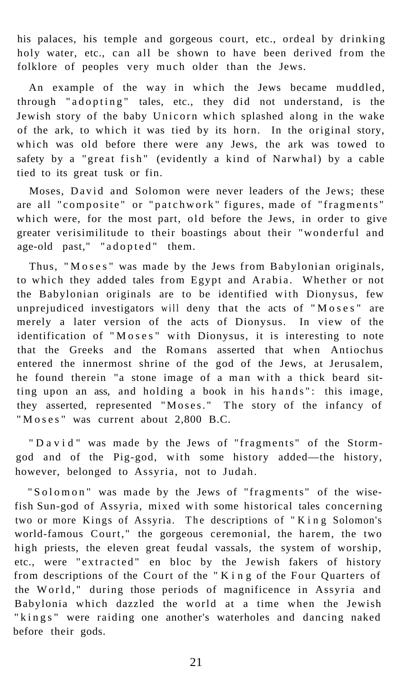his palaces, his temple and gorgeous court, etc., ordeal by drinking holy water, etc., can all be shown to have been derived from the folklore of peoples very much older than the Jews.

An example of the way in which the Jews became muddled, through "adopting" tales, etc., they did not understand, is the Jewish story of the baby Unicorn which splashed along in the wake of the ark, to which it was tied by its horn. In the original story, which was old before there were any Jews, the ark was towed to safety by a "great fish" (evidently a kind of Narwhal) by a cable tied to its great tusk or fin.

Moses, David and Solomon were never leaders of the Jews; these are all "composite" or "patchwork" figures, made of "fragments" which were, for the most part, old before the Jews, in order to give greater verisimilitude to their boastings about their "wonderful and age-old past," "adopted" them.

Thus, "Moses " was made by the Jews from Babylonian originals, to which they added tales from Egypt and Arabia . Whether or not the Babylonian originals are to be identified with Dionysus, few unprejudiced investigators will deny that the acts of "Moses" are merely a later version of the acts of Dionysus. In view of the identification of "Moses" with Dionysus, it is interesting to note that the Greeks and the Romans asserted that when Antiochus entered the innermost shrine of the god of the Jews, at Jerusalem, he found therein "a stone image of a man with a thick beard sitting upon an ass, and holding a book in his hands": this image, they asserted, represented "Moses." The story of the infancy of "Moses" was current about 2,800 B.C.

"David" was made by the Jews of "fragments" of the Stormgod and of the Pig-god, with some history added—the history, however, belonged to Assyria, not to Judah.

"Solomon" was made by the Jews of "fragments" of the wisefish Sun-god of Assyria, mixed with some historical tales concerning two or more Kings of Assyria. The descriptions of "King Solomon's world-famous Court," the gorgeous ceremonial, the harem, the two high priests, the eleven great feudal vassals, the system of worship, etc., were "extracted" en bloc by the Jewish fakers of history from descriptions of the Court of the "King of the Four Quarters of the World," during those periods of magnificence in Assyria and Babylonia which dazzled the world at a time when the Jewish "kings" were raiding one another's waterholes and dancing naked before their gods.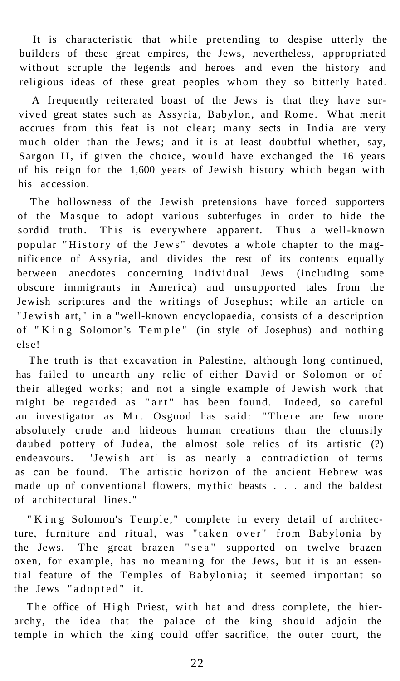It is characteristic that while pretending to despise utterly the builders of these great empires, the Jews, nevertheless, appropriated without scruple the legends and heroes and even the history and religious ideas of these great peoples whom they so bitterly hated.

A frequently reiterated boast of the Jews is that they have survived great states such as Assyria, Babylon, and Rome. What merit accrues from this feat is not clear; many sects in India are very much older than the Jews; and it is at least doubtful whether, say, Sargon II, if given the choice, would have exchanged the 16 years of his reign for the 1,600 years of Jewish history which began with his accession.

The hollowness of the Jewish pretensions have forced supporters of the Masque to adopt various subterfuges in order to hide the sordid truth. This is everywhere apparent. Thus a well-known popular "History of the Jews" devotes a whole chapter to the magnificence of Assyria, and divides the rest of its contents equally between anecdotes concerning individual Jews (including some obscure immigrants in America) and unsupported tales from the Jewish scriptures and the writings of Josephus; while an article on "Jewish art," in a "well-known encyclopaedia, consists of a description of "King Solomon's Temple" (in style of Josephus) and nothing else!

The truth is that excavation in Palestine, although long continued, has failed to unearth any relic of either David or Solomon or of their alleged works; and not a single example of Jewish work that might be regarded as "art" has been found. Indeed, so careful an investigator as Mr. Osgood has said: "There are few more absolutely crude and hideous human creations than the clumsily daubed pottery of Judea, the almost sole relics of its artistic (?) endeavours. 'Jewish art' is as nearly a contradiction of terms as can be found. The artistic horizon of the ancient Hebrew was made up of conventional flowers, mythic beasts . . . and the baldest of architectural lines."

"King Solomon's Temple," complete in every detail of architecture, furniture and ritual, was "taken over" from Babylonia by the Jews. The great brazen "sea" supported on twelve brazen oxen, for example, has no meaning for the Jews, but it is an essential feature of the Temples of Babylonia; it seemed important so the Jews "adopted" it.

The office of High Priest, with hat and dress complete, the hierarchy, the idea that the palace of the king should adjoin the temple in which the king could offer sacrifice, the outer court, the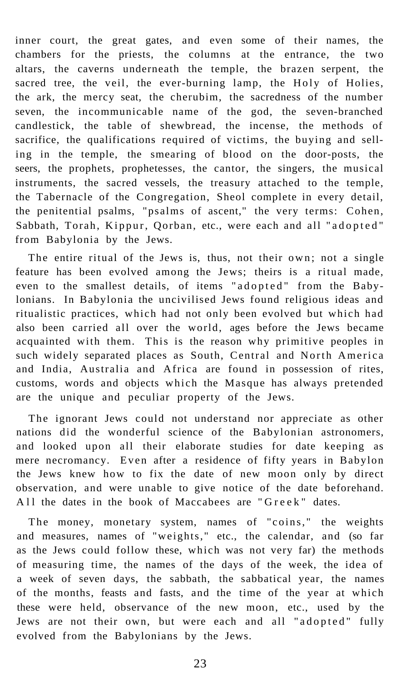inner court, the great gates, and even some of their names, the chambers for the priests, the columns at the entrance, the two altars, the caverns underneath the temple, the brazen serpent, the sacred tree, the veil, the ever-burning lamp, the Holy of Holies, the ark, the mercy seat, the cherubim, the sacredness of the number seven, the incommunicable name of the god, the seven-branched candlestick, the table of shewbread, the incense, the methods of sacrifice, the qualifications required of victims, the buying and selling in the temple, the smearing of blood on the door-posts, the seers, the prophets, prophetesses, the cantor, the singers, the musical instruments, the sacred vessels, the treasury attached to the temple, the Tabernacle of the Congregation, Sheol complete in every detail, the penitential psalms, "psalms of ascent," the very terms: Cohen, Sabbath, Torah, Kippur, Qorban, etc., were each and all "adopted " from Babylonia by the Jews.

The entire ritual of the Jews is, thus, not their own; not a single feature has been evolved among the Jews; theirs is a ritual made, even to the smallest details, of items "adopted" from the Babylonians. In Babylonia the uncivilised Jews found religious ideas and ritualistic practices, which had not only been evolved but which had also been carried all over the world, ages before the Jews became acquainted with them. This is the reason why primitive peoples in such widely separated places as South, Central and North America and India, Australia and Africa are found in possession of rites, customs, words and objects which the Masque has always pretended are the unique and peculiar property of the Jews.

The ignorant Jews could not understand nor appreciate as other nations did the wonderful science of the Babylonian astronomers, and looked upon all their elaborate studies for date keeping as mere necromancy. Even after a residence of fifty years in Babylon the Jews knew how to fix the date of new moon only by direct observation, and were unable to give notice of the date beforehand. All the dates in the book of Maccabees are "Greek" dates.

The money, monetary system, names of "coins," the weights and measures, names of "weights," etc., the calendar, and (so far as the Jews could follow these, which was not very far) the methods of measuring time, the names of the days of the week, the idea of a week of seven days, the sabbath, the sabbatical year, the names of the months, feasts and fasts, and the time of the year at which these were held, observance of the new moon, etc., used by the Jews are not their own, but were each and all "adopted" fully evolved from the Babylonians by the Jews.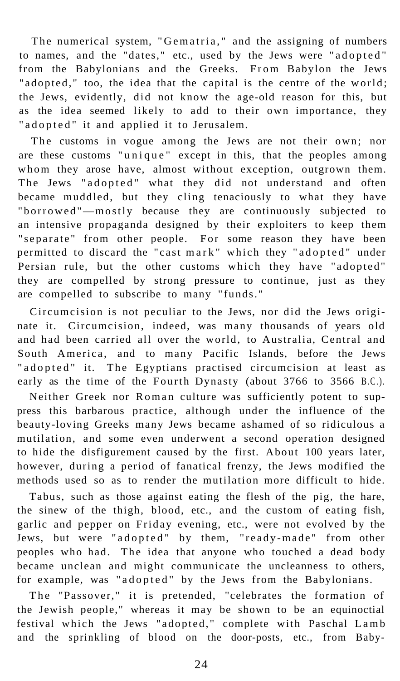The numerical system, "Gematria," and the assigning of numbers to names, and the "dates," etc., used by the Jews were "adopted " from the Babylonians and the Greeks. From Babylon the Jews "adopted," too, the idea that the capital is the centre of the world; the Jews, evidently, did not know the age-old reason for this, but as the idea seemed likely to add to their own importance, they "adopted" it and applied it to Jerusalem.

The customs in vogue among the Jews are not their own; nor are these customs "unique" except in this, that the peoples among whom they arose have, almost without exception, outgrown them. The Jews "adopted" what they did not understand and often became muddled, but they cling tenaciously to what they have "borrowed"—mostly because they are continuously subjected to an intensive propaganda designed by their exploiters to keep them "separate" from other people. For some reason they have been permitted to discard the "cast mark" which they "adopted" under Persian rule, but the other customs which they have "adopted" they are compelled by strong pressure to continue, just as they are compelled to subscribe to many "funds. "

Circumcision is not peculiar to the Jews, nor did the Jews originate it. Circumcision, indeed, was many thousands of years old and had been carried all over the world, to Australia, Central and South America, and to many Pacific Islands, before the Jews "adopted" it. The Egyptians practised circumcision at least as early as the time of the Fourth Dynasty (about 3766 to 3566 B.C.).

Neither Greek nor Roman culture was sufficiently potent to suppress this barbarous practice, although under the influence of the beauty-loving Greeks many Jews became ashamed of so ridiculous a mutilation, and some even underwent a second operation designed to hide the disfigurement caused by the first. About 100 years later, however, during a period of fanatical frenzy, the Jews modified the methods used so as to render the mutilation more difficult to hide.

Tabus, such as those against eating the flesh of the pig, the hare, the sinew of the thigh, blood, etc., and the custom of eating fish, garlic and pepper on Friday evening, etc., were not evolved by the Jews, but were "adopted" by them, "ready-made" from other peoples who had. The idea that anyone who touched a dead body became unclean and might communicate the uncleanness to others, for example, was "adopted" by the Jews from the Babylonians.

The "Passover," it is pretended, "celebrates the formation of the Jewish people," whereas it may be shown to be an equinoctial festival which the Jews "adopted," complete with Paschal Lamb and the sprinkling of blood on the door-posts, etc., from Baby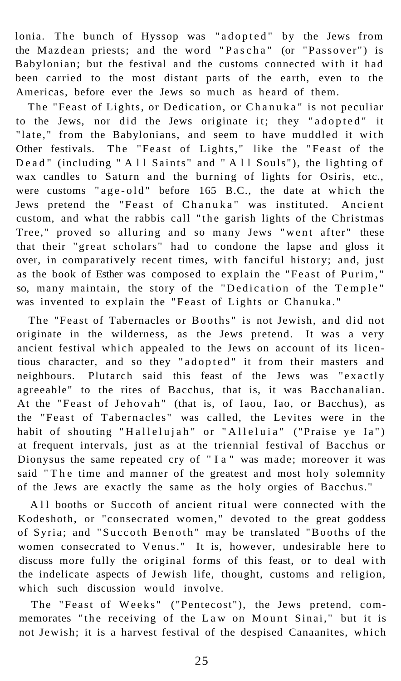lonia. The bunch of Hyssop was "adopted" by the Jews from the Mazdean priests; and the word "Pascha" (or "Passover") is Babylonian; but the festival and the customs connected with it had been carried to the most distant parts of the earth, even to the Americas, before ever the Jews so much as heard of them.

The "Feast of Lights, or Dedication, or Chanuka" is not peculiar to the Jews, nor did the Jews originate it; they "adopted" it "late," from the Babylonians, and seem to have muddled it with Other festivals. The "Feast of Lights," like the "Feast of the Dead" (including "All Saints" and "All Souls"), the lighting of wax candles to Saturn and the burning of lights for Osiris, etc., were customs "age-old" before  $165$  B.C., the date at which the Jews pretend the "Feast of Chanuka" was instituted. Ancient custom, and what the rabbis call "the garish lights of the Christmas Tree," proved so alluring and so many Jews "went after" these that their "great scholars" had to condone the lapse and gloss it over, in comparatively recent times, with fanciful history; and, just as the book of Esther was composed to explain the "Feast of Purim, " so, many maintain, the story of the "Dedication of the Temple" was invented to explain the "Feast of Lights or Chanuka. "

The "Feast of Tabernacles or Booths" is not Jewish, and did not originate in the wilderness, as the Jews pretend. It was a very ancient festival which appealed to the Jews on account of its licentious character, and so they "adopted" it from their masters and neighbours. Plutarch said this feast of the Jews was "exactly agreeable" to the rites of Bacchus, that is, it was Bacchanalian. At the "Feast of Jehovah" (that is, of Iaou, Iao, or Bacchus), as the "Feast of Tabernacles" was called, the Levites were in the habit of shouting "Hallelujah" or "Alleluia" ("Praise ye Ia") at frequent intervals, just as at the triennial festival of Bacchus or Dionysus the same repeated cry of "Ia " was made; moreover it was said "The time and manner of the greatest and most holy solemnity of the Jews are exactly the same as the holy orgies of Bacchus."

All booths or Succoth of ancient ritual were connected with the Kodeshoth, or "consecrated women," devoted to the great goddess of Syria: and "Succoth Benoth" may be translated "Booths of the women consecrated to Venus." It is, however, undesirable here to discuss more fully the original forms of this feast, or to deal with the indelicate aspects of Jewish life, thought, customs and religion, which such discussion would involve.

The "Feast of Weeks" ("Pentecost"), the Jews pretend, commemorates "the receiving of the Law on Mount Sinai," but it is not Jewish; it is a harvest festival of the despised Canaanites, which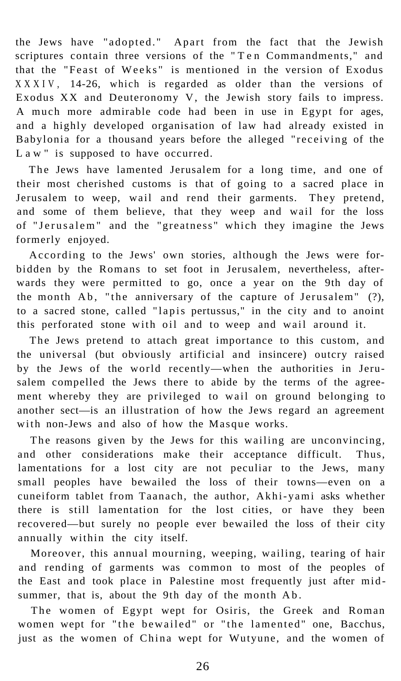the Jews have "adopted. " Apart from the fact that the Jewish scriptures contain three versions of the "Ten Commandments," and that the "Feast of Weeks " is mentioned in the version of Exodus XXXIV, 14-26, which is regarded as older than the versions of Exodus XX and Deuteronomy V, the Jewish story fails to impress. A much more admirable code had been in use in Egypt for ages, and a highly developed organisation of law had already existed in Babylonia for a thousand years before the alleged "receiving of the Law" is supposed to have occurred.

The Jews have lamented Jerusalem for a long time, and one of their most cherished customs is that of going to a sacred place in Jerusalem to weep, wail and rend their garments. They pretend, and some of them believe, that they weep and wail for the loss of "Jerusalem" and the "greatness" which they imagine the Jews formerly enjoyed.

According to the Jews' own stories, although the Jews were forbidden by the Romans to set foot in Jerusalem, nevertheless, afterwards they were permitted to go, once a year on the 9th day of the month Ab, "the anniversary of the capture of Jerusalem"  $(?)$ , to a sacred stone, called "lapis pertussus," in the city and to anoint this perforated stone with oil and to weep and wail around it.

The Jews pretend to attach great importance to this custom, and the universal (but obviously artificial and insincere) outcry raised by the Jews of the world recently—when the authorities in Jerusalem compelled the Jews there to abide by the terms of the agreement whereby they are privileged to wail on ground belonging to another sect—is an illustration of how the Jews regard an agreement with non-Jews and also of how the Masque works.

The reasons given by the Jews for this wailing are unconvincing, and other considerations make their acceptance difficult. Thus, lamentations for a lost city are not peculiar to the Jews, many small peoples have bewailed the loss of their towns—even on a cuneiform tablet from Taanach, the author, Akhi-yami asks whether there is still lamentation for the lost cities, or have they been recovered—but surely no people ever bewailed the loss of their city annually within the city itself.

Moreover, this annual mourning, weeping, wailing, tearing of hair and rending of garments was common to most of the peoples of the East and took place in Palestine most frequently just after midsummer, that is, about the 9th day of the month Ab.

The women of Egypt wept for Osiris, the Greek and Roman women wept for "the bewailed" or "the lamented" one, Bacchus, just as the women of China wept for Wutyune, and the women of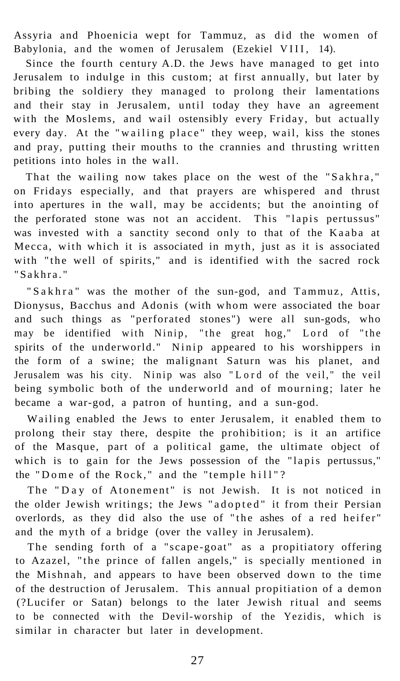Assyria and Phoenicia wept for Tammuz, as did the women of Babylonia, and the women of Jerusalem (Ezekiel VIII, 14).

Since the fourth century A.D. the Jews have managed to get into Jerusalem to indulge in this custom; at first annually, but later by bribing the soldiery they managed to prolong their lamentations and their stay in Jerusalem, until today they have an agreement with the Moslems, and wail ostensibly every Friday, but actually every day. At the "wailing place" they weep, wail, kiss the stones and pray, putting their mouths to the crannies and thrusting written petitions into holes in the wall.

That the wailing now takes place on the west of the "Sakhra," on Fridays especially, and that prayers are whispered and thrust into apertures in the wall, may be accidents; but the anointing of the perforated stone was not an accident. This "lapis pertussus" was invested with a sanctity second only to that of the Kaaba at Mecca, with which it is associated in myth, just as it is associated with "the well of spirits," and is identified with the sacred rock "Sakhra. "

"Sakhra" was the mother of the sun-god, and Tammuz, Attis, Dionysus, Bacchus and Adonis (with whom were associated the boar and such things as "perforated stones") were all sun-gods, who may be identified with Ninip, "the great hog," Lord of "the spirits of the underworld." Ninip appeared to his worshippers in the form of a swine; the malignant Saturn was his planet, and Jerusalem was his city. Ninip was also "Lord of the veil," the veil being symbolic both of the underworld and of mourning; later he became a war-god, a patron of hunting, and a sun-god.

Wailing enabled the Jews to enter Jerusalem, it enabled them to prolong their stay there, despite the prohibition; is it an artifice of the Masque, part of a political game, the ultimate object of which is to gain for the Jews possession of the "lapis pertussus," the "Dome of the Rock," and the "temple hill"?

The "Day of Atonement" is not Jewish. It is not noticed in the older Jewish writings; the Jews "adopted" it from their Persian overlords, as they did also the use of "the ashes of a red heifer" and the myth of a bridge (over the valley in Jerusalem).

The sending forth of a "scape-goat" as a propitiatory offering to Azazel, "the prince of fallen angels," is specially mentioned in the Mishnah, and appears to have been observed down to the time of the destruction of Jerusalem. This annual propitiation of a demon (?Lucifer or Satan) belongs to the later Jewish ritual and seems to be connected with the Devil-worship of the Yezidis, which is similar in character but later in development.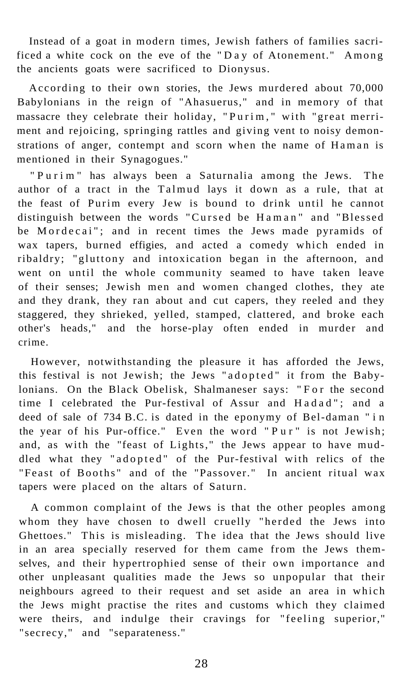Instead of a goat in modern times, Jewish fathers of families sacrificed a white cock on the eve of the "Day of Atonement." Among the ancients goats were sacrificed to Dionysus.

According to their own stories, the Jews murdered about 70,000 Babylonians in the reign of "Ahasuerus," and in memory of that massacre they celebrate their holiday, "Purim," with "great merriment and rejoicing, springing rattles and giving vent to noisy demonstrations of anger, contempt and scorn when the name of Haman is mentioned in their Synagogues."

"Purim" has always been a Saturnalia among the Jews. The author of a tract in the Talmud lays it down as a rule, that at the feast of Purim every Jew is bound to drink until he cannot distinguish between the words "Cursed be Haman" and "Blessed be Mordecai"; and in recent times the Jews made pyramids of wax tapers, burned effigies, and acted a comedy which ended in ribaldry; "gluttony and intoxication began in the afternoon, and went on until the whole community seamed to have taken leave of their senses; Jewish men and women changed clothes, they ate and they drank, they ran about and cut capers, they reeled and they staggered, they shrieked, yelled, stamped, clattered, and broke each other's heads," and the horse-play often ended in murder and crime.

However, notwithstanding the pleasure it has afforded the Jews, this festival is not Jewish; the Jews "adopted" it from the Babylonians. On the Black Obelisk, Shalmaneser says: "For the second time I celebrated the Pur-festival of Assur and Hadad" ; and a deed of sale of 734 B.C. is dated in the eponymy of Bel-daman "i n the year of his Pur-office." Even the word "Pur" is not Jewish: and, as with the "feast of Lights," the Jews appear to have muddled what they "adopted" of the Pur-festival with relics of the "Feast of Booths" and of the "Passover." In ancient ritual wax tapers were placed on the altars of Saturn.

A common complaint of the Jews is that the other peoples among whom they have chosen to dwell cruelly "herded the Jews into Ghettoes." This is misleading. The idea that the Jews should live in an area specially reserved for them came from the Jews themselves, and their hypertrophied sense of their own importance and other unpleasant qualities made the Jews so unpopular that their neighbours agreed to their request and set aside an area in which the Jews might practise the rites and customs which they claimed were theirs, and indulge their cravings for "feeling superior," "secrecy," and "separateness."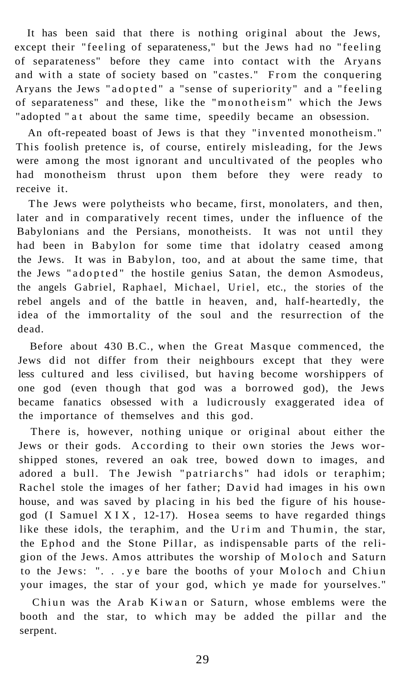It has been said that there is nothing original about the Jews, except their "feeling of separateness," but the Jews had no "feeling of separateness" before they came into contact with the Aryans and with a state of society based on "castes." From the conquering Aryans the Jews "adopted" a "sense of superiority" and a "feeling of separateness" and these, like the "monotheism" which the Jews "adopted "at about the same time, speedily became an obsession.

An oft-repeated boast of Jews is that they "invented monotheism." This foolish pretence is, of course, entirely misleading, for the Jews were among the most ignorant and uncultivated of the peoples who had monotheism thrust upon them before they were ready to receive it.

The Jews were polytheists who became, first, monolaters, and then, later and in comparatively recent times, under the influence of the Babylonians and the Persians, monotheists. It was not until they had been in Babylon for some time that idolatry ceased among the Jews. It was in Babylon, too, and at about the same time, that the Jews "adopted" the hostile genius Satan, the demon Asmodeus, the angels Gabriel, Raphael, Michael, Uriel , etc., the stories of the rebel angels and of the battle in heaven, and, half-heartedly, the idea of the immortality of the soul and the resurrection of the dead.

Before about 430 B.C., when the Great Masque commenced, the Jews did not differ from their neighbours except that they were less cultured and less civilised, but having become worshippers of one god (even though that god was a borrowed god), the Jews became fanatics obsessed with a ludicrously exaggerated idea of the importance of themselves and this god.

There is, however, nothing unique or original about either the Jews or their gods. According to their own stories the Jews worshipped stones, revered an oak tree, bowed down to images, and adored a bull. The Jewish "patriarchs" had idols or teraphim; Rachel stole the images of her father; David had images in his own house, and was saved by placing in his bed the figure of his housegod (I Samuel XIX , 12-17). Hosea seems to have regarded things like these idols, the teraphim, and the Urim and Thumin, the star, the Ephod and the Stone Pillar, as indispensable parts of the religion of the Jews. Amos attributes the worship of Moloch and Saturn to the Jews: ". . .ye bare the booths of your Moloch and Chiun your images, the star of your god, which ye made for yourselves."

Chiun was the Arab Kiwan or Saturn, whose emblems were the booth and the star, to which may be added the pillar and the serpent.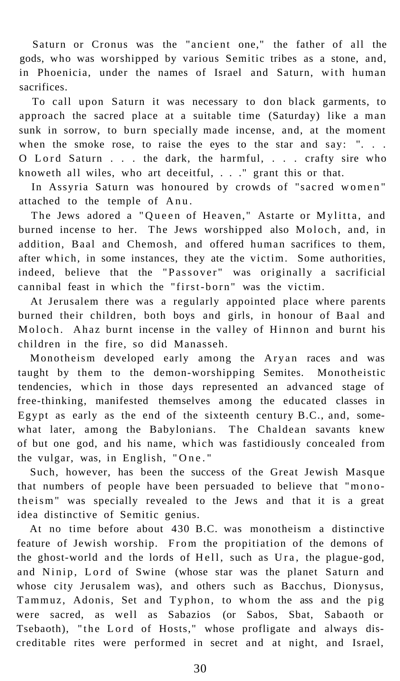Saturn or Cronus was the "ancient one," the father of all the gods, who was worshipped by various Semitic tribes as a stone, and, in Phoenicia, under the names of Israel and Saturn, with human sacrifices.

To call upon Saturn it was necessary to don black garments, to approach the sacred place at a suitable time (Saturday) like a man sunk in sorrow, to burn specially made incense, and, at the moment when the smoke rose, to raise the eyes to the star and say: "... O Lord Saturn . . . the dark, the harmful, . . . crafty sire who knoweth all wiles, who art deceitful, . . ." grant this or that.

In Assyria Saturn was honoured by crowds of "sacred women " attached to the temple of Anu.

The Jews adored a "Queen of Heaven," Astarte or Mylitta, and burned incense to her. The Jews worshipped also Moloch , and, in addition, Baal and Chemosh, and offered human sacrifices to them, after which, in some instances, they ate the victim. Some authorities, indeed, believe that the "Passover" was originally a sacrificial cannibal feast in which the "first-born" was the victim.

At Jerusalem there was a regularly appointed place where parents burned their children, both boys and girls, in honour of Baal and Moloch. Ahaz burnt incense in the valley of Hinnon and burnt his children in the fire, so did Manasseh.

Monotheism developed early among the Aryan races and was taught by them to the demon-worshipping Semites. Monotheistic tendencies, which in those days represented an advanced stage of free-thinking, manifested themselves among the educated classes in Egypt as early as the end of the sixteenth century B.C., and, somewhat later, among the Babylonians. The Chaldean savants knew of but one god, and his name, which was fastidiously concealed from the vulgar, was, in English, "One. "

Such, however, has been the success of the Great Jewish Masque that numbers of people have been persuaded to believe that "mono theism" was specially revealed to the Jews and that it is a great idea distinctive of Semitic genius.

At no time before about 430 B.C. was monotheism a distinctive feature of Jewish worship. From the propitiation of the demons of the ghost-world and the lords of Hell, such as Ura, the plague-god, and Ninip, Lord of Swine (whose star was the planet Saturn and whose city Jerusalem was), and others such as Bacchus, Dionysus, Tammuz, Adonis, Set and Typhon, to whom the ass and the pig were sacred, as well as Sabazios (or Sabos, Sbat, Sabaoth or Tsebaoth), "the Lord of Hosts," whose profligate and always discreditable rites were performed in secret and at night, and Israel,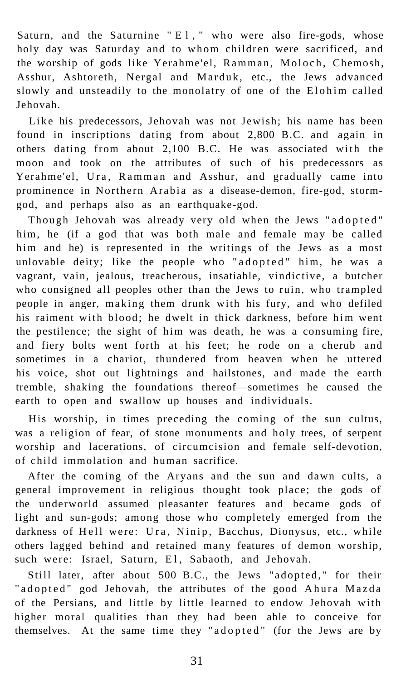Saturn, and the Saturnine "El, " who were also fire-gods, whose holy day was Saturday and to whom children were sacrificed, and the worship of gods like Yerahme'el, Ramman, Moloch, Chemosh, Asshur, Ashtoreth, Nergal and Marduk, etc., the Jews advanced slowly and unsteadily to the monolatry of one of the Elohim called Jehovah.

Like his predecessors, Jehovah was not Jewish; his name has been found in inscriptions dating from about 2,800 B.C. and again in others dating from about  $2,100$  B.C. He was associated with the moon and took on the attributes of such of his predecessors as Yerahme'el, Ura, Ramman and Asshur, and gradually came into prominence in Northern Arabia as a disease-demon, fire-god, stormgod, and perhaps also as an earthquake-god.

Though Jehovah was already very old when the Jews "adopted " him, he (if a god that was both male and female may be called him and he) is represented in the writings of the Jews as a most unlovable deity; like the people who "adopted" him, he was a vagrant, vain, jealous, treacherous, insatiable, vindictive, a butcher who consigned all peoples other than the Jews to ruin, who trampled people in anger, making them drunk with his fury, and who defiled his raiment with blood; he dwelt in thick darkness, before him went the pestilence; the sight of him was death, he was a consuming fire, and fiery bolts went forth at his feet; he rode on a cherub and sometimes in a chariot, thundered from heaven when he uttered his voice, shot out lightnings and hailstones, and made the earth tremble, shaking the foundations thereof—sometimes he caused the earth to open and swallow up houses and individuals.

His worship, in times preceding the coming of the sun cultus, was a religion of fear, of stone monuments and holy trees, of serpent worship and lacerations, of circumcision and female self-devotion, of child immolation and human sacrifice.

After the coming of the Aryans and the sun and dawn cults, a general improvement in religious thought took place; the gods of the underworld assumed pleasanter features and became gods of light and sun-gods; among those who completely emerged from the darkness of Hell were: Ura, Ninip, Bacchus, Dionysus, etc., while others lagged behind and retained many features of demon worship, such were: Israel, Saturn, E1, Sabaoth, and Jehovah.

Still later, after about 500 B.C., the Jews "adopted," for their "adopted" god Jehovah, the attributes of the good Ahura Mazda of the Persians, and little by little learned to endow Jehovah with higher moral qualities than they had been able to conceive for themselves. At the same time they "adopted" (for the Jews are by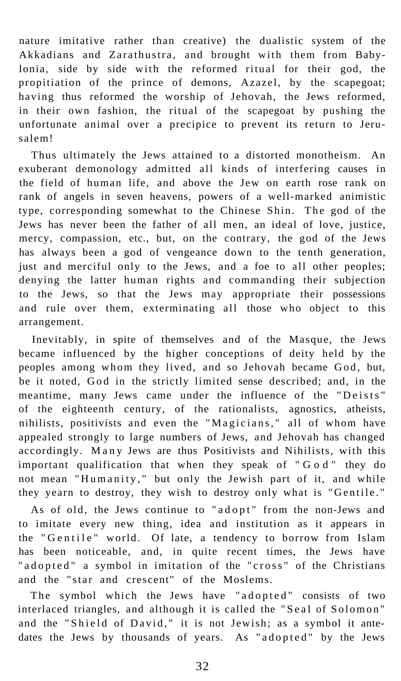nature imitative rather than creative) the dualistic system of the Akkadians and Zarathustra, and brought with them from Babylonia, side by side with the reformed ritual for their god, the propitiation of the prince of demons, Azazel, by the scapegoat; having thus reformed the worship of Jehovah, the Jews reformed, in their own fashion, the ritual of the scapegoat by pushing the unfortunate animal over a precipice to prevent its return to Jerusalem!

Thus ultimately the Jews attained to a distorted monotheism. An exuberant demonology admitted all kinds of interfering causes in the field of human life, and above the Jew on earth rose rank on rank of angels in seven heavens, powers of a well-marked animistic type, corresponding somewhat to the Chinese Shin. The god of the Jews has never been the father of all men, an ideal of love, justice, mercy, compassion, etc., but, on the contrary, the god of the Jews has always been a god of vengeance down to the tenth generation, just and merciful only to the Jews, and a foe to all other peoples; denying the latter human rights and commanding their subjection to the Jews, so that the Jews may appropriate their possessions and rule over them, exterminating all those who object to this arrangement.

Inevitably, in spite of themselves and of the Masque, the Jews became influenced by the higher conceptions of deity held by the peoples among whom they lived, and so Jehovah became God, but, be it noted, God in the strictly limited sense described; and, in the meantime, many Jews came under the influence of the "Deists " of the eighteenth century, of the rationalists, agnostics, atheists, nihilists, positivists and even the "Magicians, " all of whom have appealed strongly to large numbers of Jews, and Jehovah has changed accordingly. Many Jews are thus Positivists and Nihilists, with this important qualification that when they speak of "God " they do not mean "Humanity, " but only the Jewish part of it, and while they yearn to destroy, they wish to destroy only what is "Gentile. "

As of old, the Jews continue to "adopt" from the non-Jews and to imitate every new thing, idea and institution as it appears in the "Gentile" world. Of late, a tendency to borrow from Islam has been noticeable, and, in quite recent times, the Jews have "adopted" a symbol in imitation of the "cross" of the Christians and the "star and crescent" of the Moslems

The symbol which the Jews have "adopted" consists of two interlaced triangles, and although it is called the "Seal of Solomon" and the "Shield of David," it is not Jewish; as a symbol it antedates the Jews by thousands of years. As "adopted" by the Jews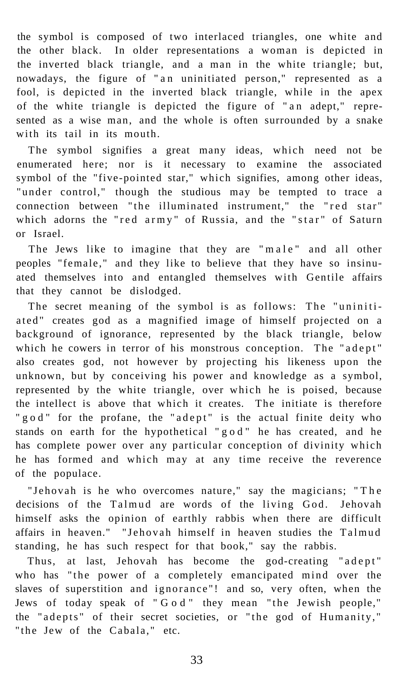the symbol is composed of two interlaced triangles, one white and the other black. In older representations a woman is depicted in the inverted black triangle, and a man in the white triangle; but, nowadays, the figure of "an uninitiated person," represented as a fool, is depicted in the inverted black triangle, while in the apex of the white triangle is depicted the figure of "an adept." represented as a wise man, and the whole is often surrounded by a snake with its tail in its mouth.

The symbol signifies a great many ideas, which need not be enumerated here; nor is it necessary to examine the associated symbol of the "five-pointed star," which signifies, among other ideas, "under control," though the studious may be tempted to trace a connection between "the illuminated instrument," the "red star" which adorns the "red army" of Russia, and the "star" of Saturn or Israel.

The Jews like to imagine that they are "male" and all other peoples "female," and they like to believe that they have so insinuated themselves into and entangled themselves with Gentile affairs that they cannot be dislodged.

The secret meaning of the symbol is as follows: The "uninitiated" creates god as a magnified image of himself projected on a background of ignorance, represented by the black triangle, below which he cowers in terror of his monstrous conception. The "adept" also creates god, not however by projecting his likeness upon the unknown, but by conceiving his power and knowledge as a symbol, represented by the white triangle, over which he is poised, because the intellect is above that which it creates. The initiate is therefore "god" for the profane, the "adept" is the actual finite deity who stands on earth for the hypothetical "god" he has created, and he has complete power over any particular conception of divinity which he has formed and which may at any time receive the reverence of the populace.

"Jehovah is he who overcomes nature," say the magicians; "The decisions of the Talmud are words of the living God. Jehovah himself asks the opinion of earthly rabbis when there are difficult affairs in heaven." "Jehovah himself in heaven studies the Talmud standing, he has such respect for that book," say the rabbis.

Thus, at last, Jehovah has become the god-creating "adept" who has "the power of a completely emancipated mind over the slaves of superstition and ignorance"! and so, very often, when the Jews of today speak of "God" they mean "the Jewish people," the "adepts" of their secret societies, or "the god of Humanity," "the Jew of the Cabala," etc.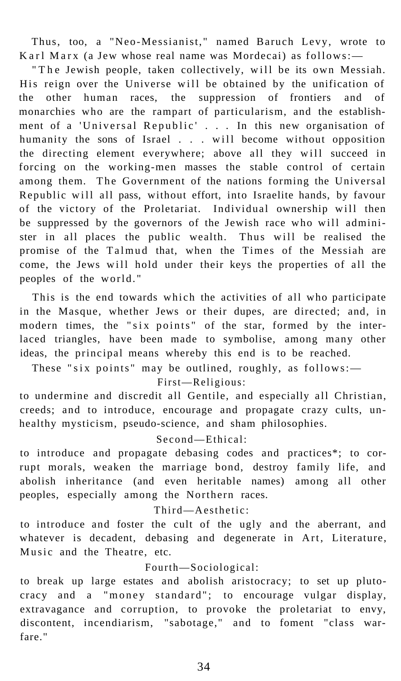Thus, too, a "Neo-Messianist, " named Baruch Levy, wrote to Karl Marx (a Jew whose real name was Mordecai) as  $follows:$ 

"The Jewish people, taken collectively, will be its own Messiah. His reign over the Universe will be obtained by the unification of the other human races, the suppression of frontiers and of monarchies who are the rampart of particularism, and the establishment of a 'Universal Republic' . . . In this new organisation of humanity the sons of Israel . . . will become without opposition the directing element everywhere; above all they will succeed in forcing on the working-men masses the stable control of certain among them. The Government of the nations forming the Universal Republic will all pass, without effort, into Israelite hands, by favour of the victory of the Proletariat. Individual ownership will then be suppressed by the governors of the Jewish race who will administer in all places the public wealth. Thus will be realised the promise of the Talmud that, when the Times of the Messiah are come, the Jews will hold under their keys the properties of all the peoples of the world. "

This is the end towards which the activities of all who participate in the Masque, whether Jews or their dupes, are directed; and, in modern times, the "six points" of the star, formed by the interlaced triangles, have been made to symbolise, among many other ideas, the principal means whereby this end is to be reached.

These "six points" may be outlined, roughly, as  $follows:$ 

First—Religious:

to undermine and discredit all Gentile, and especially all Christian, creeds; and to introduce, encourage and propagate crazy cults, unhealthy mysticism, pseudo-science, and sham philosophies.

#### Second—Ethical:

to introduce and propagate debasing codes and practices\*; to corrupt morals, weaken the marriage bond, destroy family life, and abolish inheritance (and even heritable names) among all other peoples, especially among the Northern races.

Third—Aesthetic :

to introduce and foster the cult of the ugly and the aberrant, and whatever is decadent, debasing and degenerate in Art, Literature, Music and the Theatre, etc.

#### Fourth—Sociological:

to break up large estates and abolish aristocracy; to set up plutocracy and a "money standard"; to encourage vulgar display, extravagance and corruption, to provoke the proletariat to envy, discontent, incendiarism, "sabotage," and to foment "class warfare."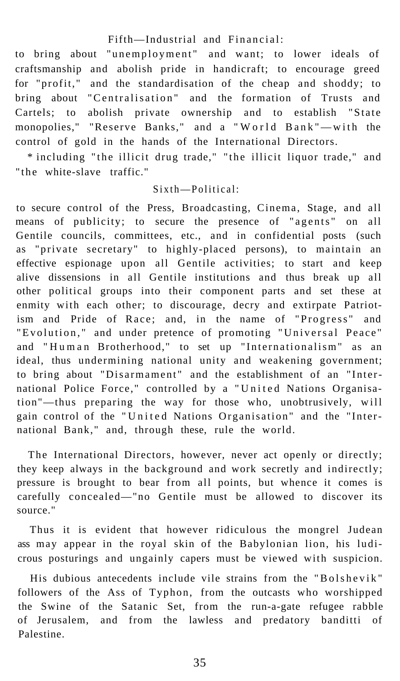#### Fifth—Industrial and Financial:

to bring about "unemployment" and want; to lower ideals of craftsmanship and abolish pride in handicraft; to encourage greed for "profit," and the standardisation of the cheap and shoddy; to bring about "Centralisation" and the formation of Trusts and Cartels: to abolish private ownership and to establish "State monopolies," "Reserve Banks," and a "World Bank"-with the control of gold in the hands of the International Directors.

\* including "the illicit drug trade," "the illicit liquor trade," and "the white-slave traffic."

#### Sixth—Political:

to secure control of the Press, Broadcasting, Cinema, Stage, and all means of publicity; to secure the presence of "agents" on all Gentile councils, committees, etc., and in confidential posts (such as "private secretary" to highly-placed persons), to maintain an effective espionage upon all Gentile activities; to start and keep alive dissensions in all Gentile institutions and thus break up all other political groups into their component parts and set these at enmity with each other; to discourage, decry and extirpate Patriotism and Pride of Race; and, in the name of "Progress" and "Evolution," and under pretence of promoting "Universal Peace" and "Human Brotherhood," to set up "Internationalism" as an ideal, thus undermining national unity and weakening government; to bring about "Disarmament" and the establishment of an "International Police Force," controlled by a "United Nations Organisation"—thus preparing the way for those who, unobtrusively, will gain control of the "United Nations Organisation" and the "International Bank," and, through these, rule the world.

The International Directors, however, never act openly or directly; they keep always in the background and work secretly and indirectly; pressure is brought to bear from all points, but whence it comes is carefully concealed—"no Gentile must be allowed to discover its source."

Thus it is evident that however ridiculous the mongrel Judean ass may appear in the royal skin of the Babylonian lion, his ludicrous posturings and ungainly capers must be viewed with suspicion.

His dubious antecedents include vile strains from the "Bolshevik " followers of the Ass of Typhon, from the outcasts who worshipped the Swine of the Satanic Set, from the run-a-gate refugee rabble of Jerusalem, and from the lawless and predatory banditti of Palestine.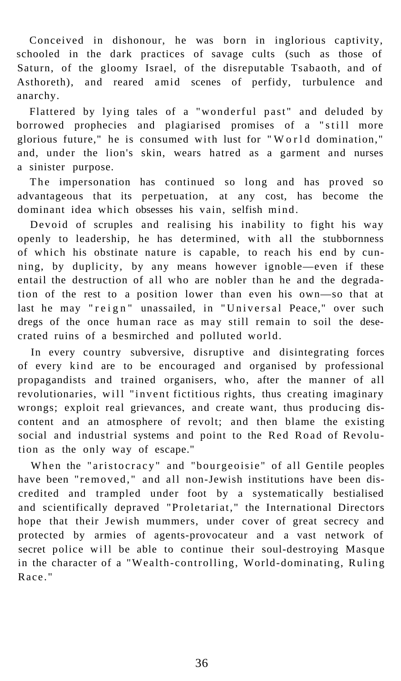Conceived in dishonour, he was born in inglorious captivity, schooled in the dark practices of savage cults (such as those of Saturn, of the gloomy Israel, of the disreputable Tsabaoth, and of Asthoreth), and reared amid scenes of perfidy, turbulence and anarchy.

Flattered by lying tales of a "wonderful past" and deluded by borrowed prophecies and plagiarised promises of a "still more glorious future," he is consumed with lust for "World domination," and, under the lion's skin, wears hatred as a garment and nurses a sinister purpose.

The impersonation has continued so long and has proved so advantageous that its perpetuation, at any cost, has become the dominant idea which obsesses his vain, selfish mind.

Devoid of scruples and realising his inability to fight his way openly to leadership, he has determined, with all the stubbornness of which his obstinate nature is capable, to reach his end by cunning, by duplicity, by any means however ignoble—even if these entail the destruction of all who are nobler than he and the degradation of the rest to a position lower than even his own—so that at last he may "reign" unassailed, in "Universal Peace," over such dregs of the once human race as may still remain to soil the desecrated ruins of a besmirched and polluted world.

In every country subversive, disruptive and disintegrating forces of every kind are to be encouraged and organised by professional propagandists and trained organisers, who, after the manner of all revolutionaries, will "invent fictitious rights, thus creating imaginary wrongs; exploit real grievances, and create want, thus producing discontent and an atmosphere of revolt; and then blame the existing social and industrial systems and point to the Red Road of Revolution as the only way of escape."

When the "aristocracy" and "bourgeoisie" of all Gentile peoples have been "removed," and all non-Jewish institutions have been discredited and trampled under foot by a systematically bestialised and scientifically depraved "Proletariat," the International Directors hope that their Jewish mummers, under cover of great secrecy and protected by armies of agents-provocateur and a vast network of secret police will be able to continue their soul-destroying Masque in the character of a "Wealth-controlling, World-dominating, Ruling Race. "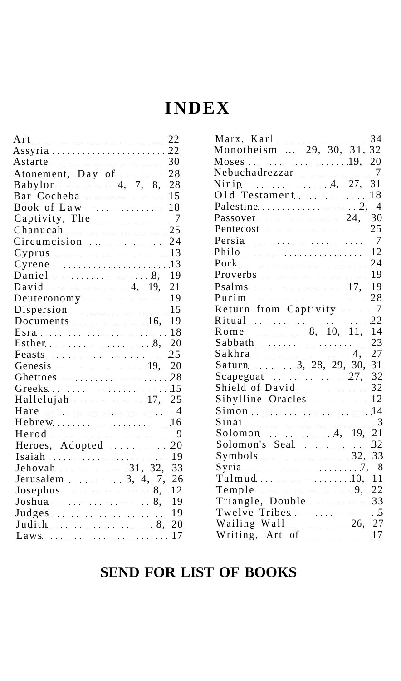# **INDEX**

| Astarte<br>Atonement, Day of 28<br>Babylon 4, 7, 8, 28 |  |
|--------------------------------------------------------|--|
|                                                        |  |
|                                                        |  |
| Bar Cocheba 15                                         |  |
| Book of Law                                            |  |
|                                                        |  |
|                                                        |  |
|                                                        |  |
|                                                        |  |
|                                                        |  |
|                                                        |  |
| David 4, 19, 21                                        |  |
| Deuteronomy19                                          |  |
|                                                        |  |
| Documents  16, 19                                      |  |
|                                                        |  |
|                                                        |  |
|                                                        |  |
| Genesis 2014. 19, 20                                   |  |
|                                                        |  |
|                                                        |  |
| Hallelujah  17, 25                                     |  |
|                                                        |  |
|                                                        |  |
|                                                        |  |
| Heroes, Adopted  20                                    |  |
|                                                        |  |
| Isaiah 19<br>Jehovah 31, 32, 33                        |  |
|                                                        |  |
| Josephus $\ldots$ , 8, 12                              |  |
|                                                        |  |
|                                                        |  |
|                                                        |  |
|                                                        |  |

| Marx, Karl 34<br>Monotheism  29, 30, 31, 32     |  |
|-------------------------------------------------|--|
|                                                 |  |
| Moses 2008. The contract of the set of $19, 20$ |  |
|                                                 |  |
| Ninip 1. 4, 27, 31                              |  |
| Old Testament 18                                |  |
| Palestine 2, 4                                  |  |
| Passover 24, 30                                 |  |
|                                                 |  |
|                                                 |  |
| Philo12                                         |  |
|                                                 |  |
|                                                 |  |
| Psalms 17, 19                                   |  |
| Purim 28<br>Return from Captivity 7             |  |
|                                                 |  |
|                                                 |  |
| Ritual 22<br>Rome 8, 10, 11, 14                 |  |
|                                                 |  |
| Sakhra  4, 27                                   |  |
| Saturn 3, 28, 29, 30, 31                        |  |
| Scapegoat 27, 32                                |  |
| Shield of David                                 |  |
| Sibylline Oracles  12                           |  |
|                                                 |  |
|                                                 |  |
| Solomon 4, 19, 21                               |  |
|                                                 |  |
| Symbols 32, 33                                  |  |
|                                                 |  |
|                                                 |  |
|                                                 |  |
|                                                 |  |
|                                                 |  |
| Wailing Wall 26, 27                             |  |
|                                                 |  |

# **SEND FOR LIST OF BOOKS**